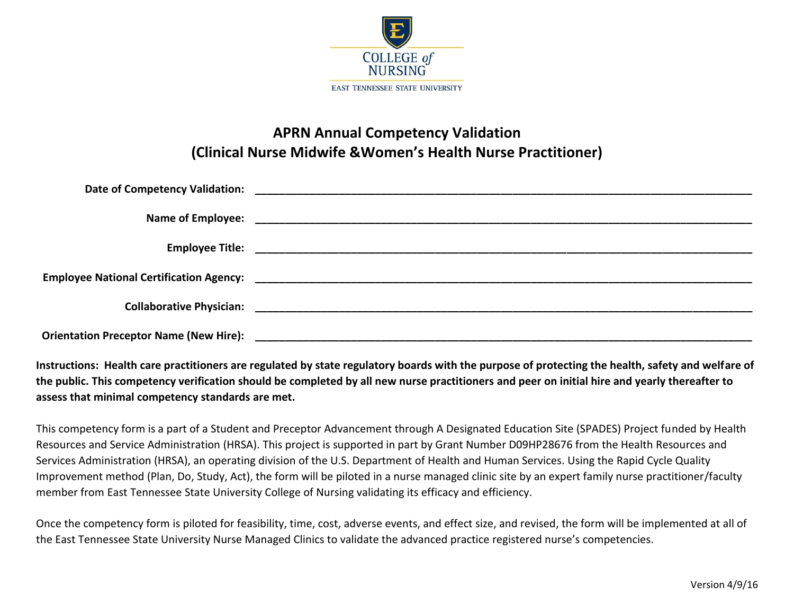

## **APRN Annual Competency Validation (Clinical Nurse Midwife &Women's Health Nurse Practitioner)**

**Instructions: Health care practitioners are regulated by state regulatory boards with the purpose of protecting the health, safety and welfare of the public. This competency verification should be completed by all new nurse practitioners and peer on initial hire and yearly thereafter to assess that minimal competency standards are met.**

This competency form is a part of a Student and Preceptor Advancement through A Designated Education Site (SPADES) Project funded by Health Resources and Service Administration (HRSA). This project is supported in part by Grant Number D09HP28676 from the Health Resources and Services Administration (HRSA), an operating division of the U.S. Department of Health and Human Services. Using the Rapid Cycle Quality Improvement method (Plan, Do, Study, Act), the form will be piloted in a nurse managed clinic site by an expert family nurse practitioner/faculty member from East Tennessee State University College of Nursing validating its efficacy and efficiency.

Once the competency form is piloted for feasibility, time, cost, adverse events, and effect size, and revised, the form will be implemented at all of the East Tennessee State University Nurse Managed Clinics to validate the advanced practice registered nurse's competencies.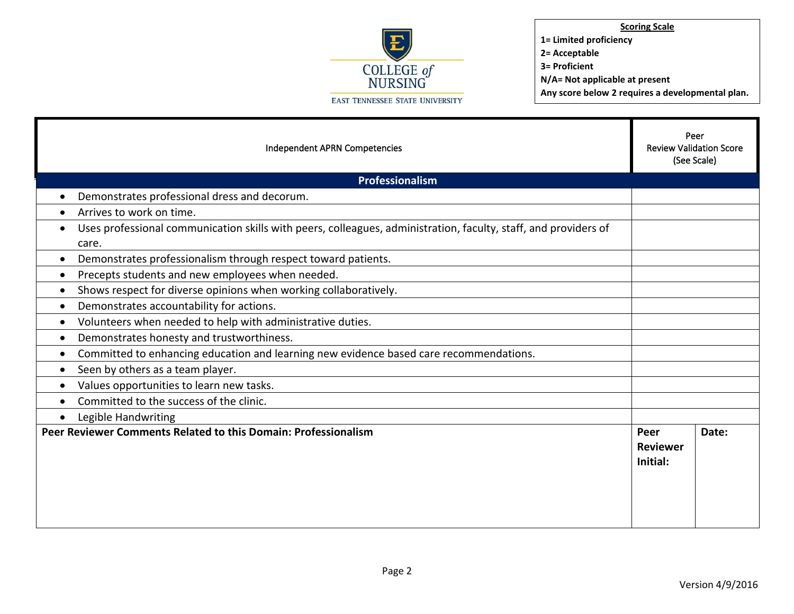

**Scoring Scale 1= Limited proficiency 2= Acceptable 3= Proficient**

**N/A= Not applicable at present**

**Any score below 2 requires a developmental plan.** 

| Independent APRN Competencies                                                                                                         |                                     | Peer<br><b>Review Validation Score</b><br>(See Scale) |  |
|---------------------------------------------------------------------------------------------------------------------------------------|-------------------------------------|-------------------------------------------------------|--|
| Professionalism                                                                                                                       |                                     |                                                       |  |
| Demonstrates professional dress and decorum.<br>$\bullet$                                                                             |                                     |                                                       |  |
| Arrives to work on time.<br>$\bullet$                                                                                                 |                                     |                                                       |  |
| Uses professional communication skills with peers, colleagues, administration, faculty, staff, and providers of<br>$\bullet$<br>care. |                                     |                                                       |  |
| Demonstrates professionalism through respect toward patients.<br>$\bullet$                                                            |                                     |                                                       |  |
| Precepts students and new employees when needed.<br>$\bullet$                                                                         |                                     |                                                       |  |
| Shows respect for diverse opinions when working collaboratively.<br>$\bullet$                                                         |                                     |                                                       |  |
| Demonstrates accountability for actions.<br>$\bullet$                                                                                 |                                     |                                                       |  |
| Volunteers when needed to help with administrative duties.<br>$\bullet$                                                               |                                     |                                                       |  |
| Demonstrates honesty and trustworthiness.<br>$\bullet$                                                                                |                                     |                                                       |  |
| Committed to enhancing education and learning new evidence based care recommendations.<br>$\bullet$                                   |                                     |                                                       |  |
| Seen by others as a team player.<br>$\bullet$                                                                                         |                                     |                                                       |  |
| Values opportunities to learn new tasks.<br>$\bullet$                                                                                 |                                     |                                                       |  |
| Committed to the success of the clinic.<br>$\bullet$                                                                                  |                                     |                                                       |  |
| Legible Handwriting<br>$\bullet$                                                                                                      |                                     |                                                       |  |
| Peer Reviewer Comments Related to this Domain: Professionalism                                                                        | Peer<br><b>Reviewer</b><br>Initial: | Date:                                                 |  |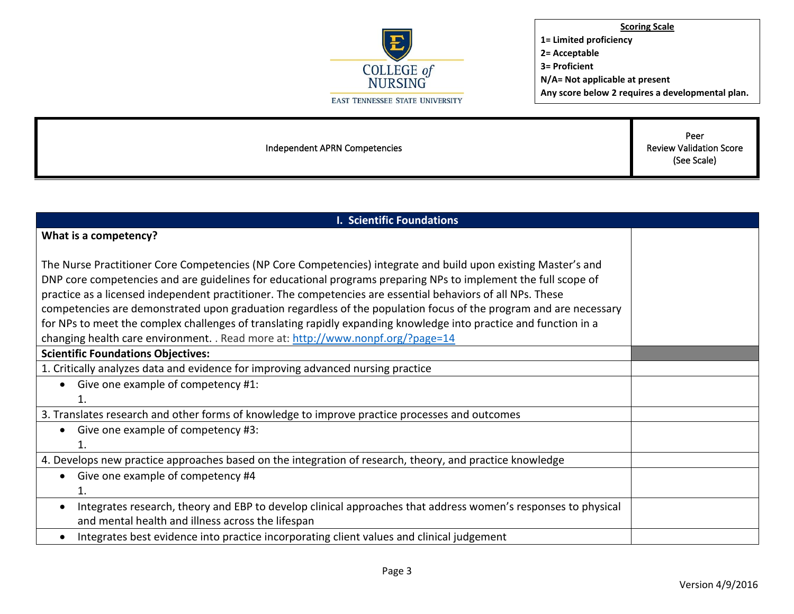

Independent APRN Competencies

Peer Review Validation Score (See Scale)

| <b>I. Scientific Foundations</b>                                                                                           |  |  |
|----------------------------------------------------------------------------------------------------------------------------|--|--|
| What is a competency?                                                                                                      |  |  |
|                                                                                                                            |  |  |
| The Nurse Practitioner Core Competencies (NP Core Competencies) integrate and build upon existing Master's and             |  |  |
| DNP core competencies and are guidelines for educational programs preparing NPs to implement the full scope of             |  |  |
| practice as a licensed independent practitioner. The competencies are essential behaviors of all NPs. These                |  |  |
| competencies are demonstrated upon graduation regardless of the population focus of the program and are necessary          |  |  |
| for NPs to meet the complex challenges of translating rapidly expanding knowledge into practice and function in a          |  |  |
| changing health care environment. . Read more at: http://www.nonpf.org/?page=14                                            |  |  |
| <b>Scientific Foundations Objectives:</b>                                                                                  |  |  |
| 1. Critically analyzes data and evidence for improving advanced nursing practice                                           |  |  |
| Give one example of competency #1:<br>$\bullet$                                                                            |  |  |
| 1.                                                                                                                         |  |  |
| 3. Translates research and other forms of knowledge to improve practice processes and outcomes                             |  |  |
| Give one example of competency #3:<br>$\bullet$                                                                            |  |  |
| 1.                                                                                                                         |  |  |
| 4. Develops new practice approaches based on the integration of research, theory, and practice knowledge                   |  |  |
| Give one example of competency #4<br>$\bullet$                                                                             |  |  |
| 1.                                                                                                                         |  |  |
| Integrates research, theory and EBP to develop clinical approaches that address women's responses to physical<br>$\bullet$ |  |  |
| and mental health and illness across the lifespan                                                                          |  |  |
| Integrates best evidence into practice incorporating client values and clinical judgement<br>$\bullet$                     |  |  |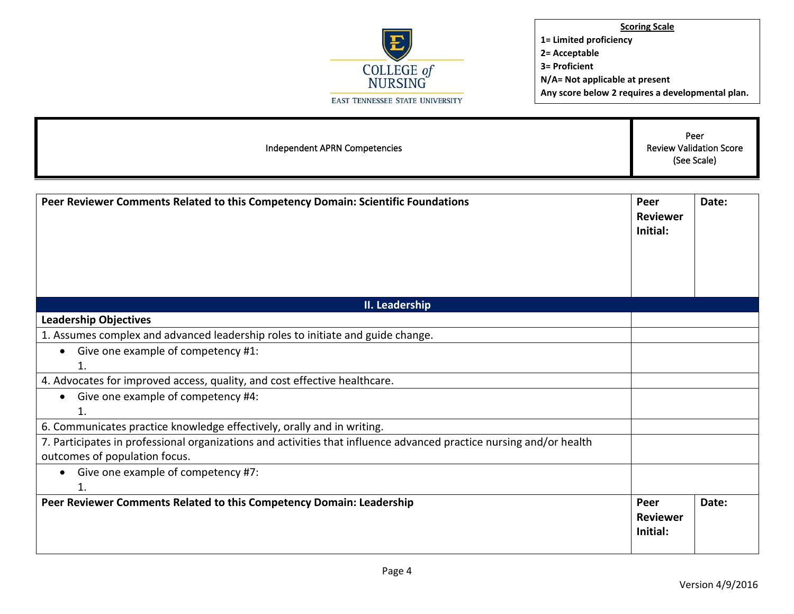

| Independent APRN Competencies                                                                                                                        |                                     | Peer<br><b>Review Validation Score</b><br>(See Scale) |  |
|------------------------------------------------------------------------------------------------------------------------------------------------------|-------------------------------------|-------------------------------------------------------|--|
| Peer Reviewer Comments Related to this Competency Domain: Scientific Foundations                                                                     | Peer<br><b>Reviewer</b><br>Initial: | Date:                                                 |  |
| II. Leadership                                                                                                                                       |                                     |                                                       |  |
| <b>Leadership Objectives</b>                                                                                                                         |                                     |                                                       |  |
| 1. Assumes complex and advanced leadership roles to initiate and guide change.                                                                       |                                     |                                                       |  |
| Give one example of competency #1:<br>$\bullet$<br>1.                                                                                                |                                     |                                                       |  |
| 4. Advocates for improved access, quality, and cost effective healthcare.                                                                            |                                     |                                                       |  |
| • Give one example of competency #4:<br>1.                                                                                                           |                                     |                                                       |  |
| 6. Communicates practice knowledge effectively, orally and in writing.                                                                               |                                     |                                                       |  |
| 7. Participates in professional organizations and activities that influence advanced practice nursing and/or health<br>outcomes of population focus. |                                     |                                                       |  |
| Give one example of competency #7:<br>$\bullet$<br>1.                                                                                                |                                     |                                                       |  |
| Peer Reviewer Comments Related to this Competency Domain: Leadership                                                                                 | Peer<br><b>Reviewer</b><br>Initial: | Date:                                                 |  |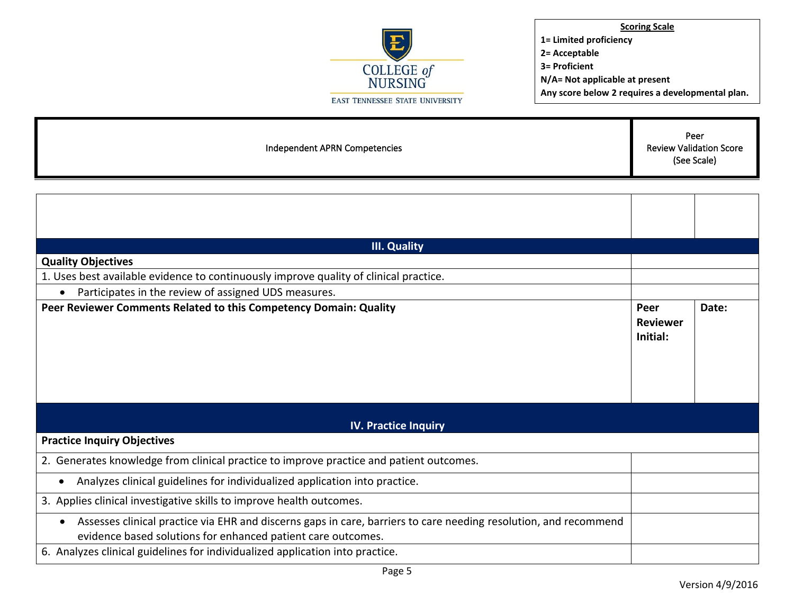

| Independent APRN Competencies | Peer<br><b>Review Validation Score</b><br>(See Scale) |
|-------------------------------|-------------------------------------------------------|
|                               |                                                       |

| <b>III. Quality</b>                                                                                                                                                              |                                     |       |
|----------------------------------------------------------------------------------------------------------------------------------------------------------------------------------|-------------------------------------|-------|
| <b>Quality Objectives</b>                                                                                                                                                        |                                     |       |
| 1. Uses best available evidence to continuously improve quality of clinical practice.                                                                                            |                                     |       |
| Participates in the review of assigned UDS measures.                                                                                                                             |                                     |       |
| Peer Reviewer Comments Related to this Competency Domain: Quality                                                                                                                | Peer<br><b>Reviewer</b><br>Initial: | Date: |
| <b>IV. Practice Inquiry</b>                                                                                                                                                      |                                     |       |
| <b>Practice Inquiry Objectives</b>                                                                                                                                               |                                     |       |
| 2. Generates knowledge from clinical practice to improve practice and patient outcomes.                                                                                          |                                     |       |
| Analyzes clinical guidelines for individualized application into practice.                                                                                                       |                                     |       |
| 3. Applies clinical investigative skills to improve health outcomes.                                                                                                             |                                     |       |
| Assesses clinical practice via EHR and discerns gaps in care, barriers to care needing resolution, and recommend<br>evidence based solutions for enhanced patient care outcomes. |                                     |       |
| 6. Analyzes clinical guidelines for individualized application into practice.                                                                                                    |                                     |       |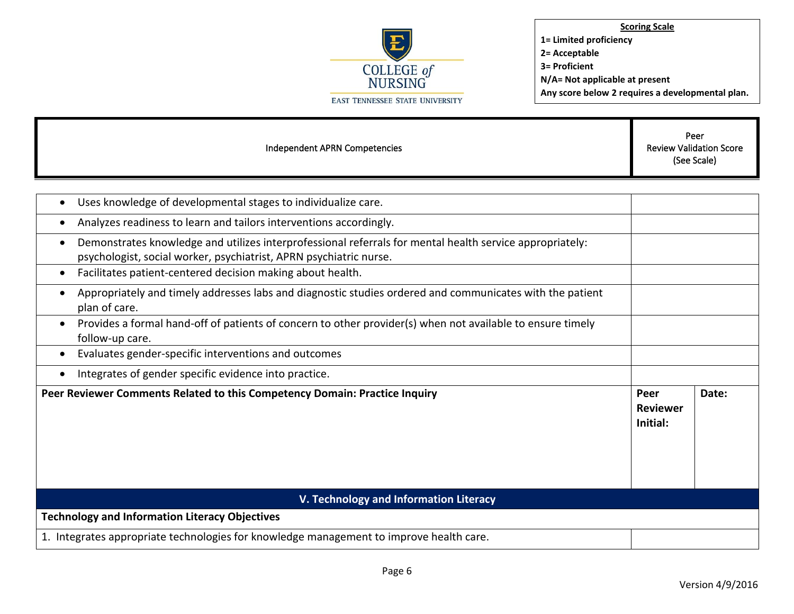

| Independent APRN Competencies                                                                                                                                                  |                                     | Peer<br><b>Review Validation Score</b><br>(See Scale) |
|--------------------------------------------------------------------------------------------------------------------------------------------------------------------------------|-------------------------------------|-------------------------------------------------------|
|                                                                                                                                                                                |                                     |                                                       |
| Uses knowledge of developmental stages to individualize care.                                                                                                                  |                                     |                                                       |
| Analyzes readiness to learn and tailors interventions accordingly.<br>٠                                                                                                        |                                     |                                                       |
| Demonstrates knowledge and utilizes interprofessional referrals for mental health service appropriately:<br>psychologist, social worker, psychiatrist, APRN psychiatric nurse. |                                     |                                                       |
| Facilitates patient-centered decision making about health.<br>٠                                                                                                                |                                     |                                                       |
| Appropriately and timely addresses labs and diagnostic studies ordered and communicates with the patient<br>plan of care.                                                      |                                     |                                                       |
| Provides a formal hand-off of patients of concern to other provider(s) when not available to ensure timely<br>follow-up care.                                                  |                                     |                                                       |
| Evaluates gender-specific interventions and outcomes                                                                                                                           |                                     |                                                       |
| Integrates of gender specific evidence into practice.                                                                                                                          |                                     |                                                       |
| Peer Reviewer Comments Related to this Competency Domain: Practice Inquiry                                                                                                     | Peer<br><b>Reviewer</b><br>Initial: | Date:                                                 |
| V. Technology and Information Literacy                                                                                                                                         |                                     |                                                       |
| <b>Technology and Information Literacy Objectives</b>                                                                                                                          |                                     |                                                       |
| 1. Integrates appropriate technologies for knowledge management to improve health care.                                                                                        |                                     |                                                       |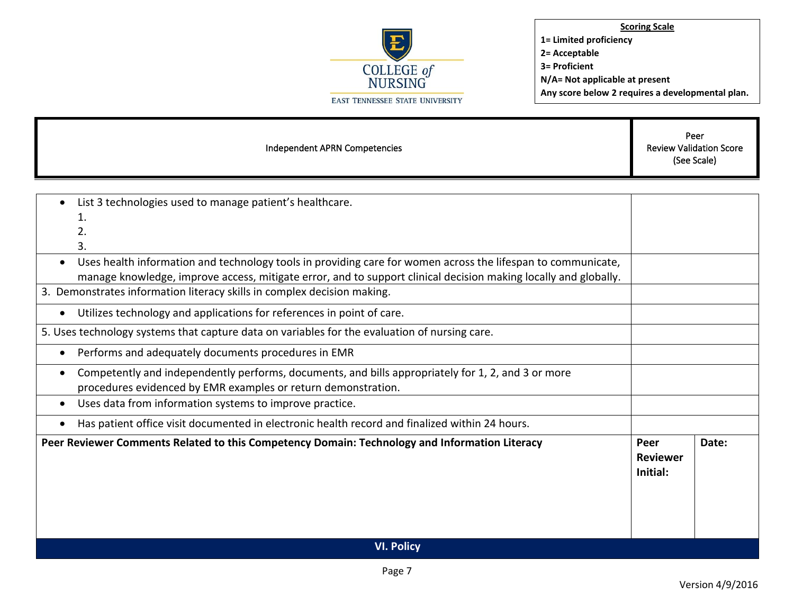

| Independent APRN Competencies                                                                                             |                                     | Peer<br><b>Review Validation Score</b><br>(See Scale) |  |
|---------------------------------------------------------------------------------------------------------------------------|-------------------------------------|-------------------------------------------------------|--|
|                                                                                                                           |                                     |                                                       |  |
| List 3 technologies used to manage patient's healthcare.                                                                  |                                     |                                                       |  |
| 1.                                                                                                                        |                                     |                                                       |  |
| 2.                                                                                                                        |                                     |                                                       |  |
| 3.                                                                                                                        |                                     |                                                       |  |
| Uses health information and technology tools in providing care for women across the lifespan to communicate,<br>$\bullet$ |                                     |                                                       |  |
| manage knowledge, improve access, mitigate error, and to support clinical decision making locally and globally.           |                                     |                                                       |  |
| 3. Demonstrates information literacy skills in complex decision making.                                                   |                                     |                                                       |  |
| Utilizes technology and applications for references in point of care.<br>$\bullet$                                        |                                     |                                                       |  |
| 5. Uses technology systems that capture data on variables for the evaluation of nursing care.                             |                                     |                                                       |  |
| Performs and adequately documents procedures in EMR<br>$\bullet$                                                          |                                     |                                                       |  |
| Competently and independently performs, documents, and bills appropriately for 1, 2, and 3 or more<br>$\bullet$           |                                     |                                                       |  |
| procedures evidenced by EMR examples or return demonstration.                                                             |                                     |                                                       |  |
| Uses data from information systems to improve practice.<br>$\bullet$                                                      |                                     |                                                       |  |
| Has patient office visit documented in electronic health record and finalized within 24 hours.<br>$\bullet$               |                                     |                                                       |  |
| Peer Reviewer Comments Related to this Competency Domain: Technology and Information Literacy                             | Peer<br><b>Reviewer</b><br>Initial: | Date:                                                 |  |
| <b>VI. Policy</b>                                                                                                         |                                     |                                                       |  |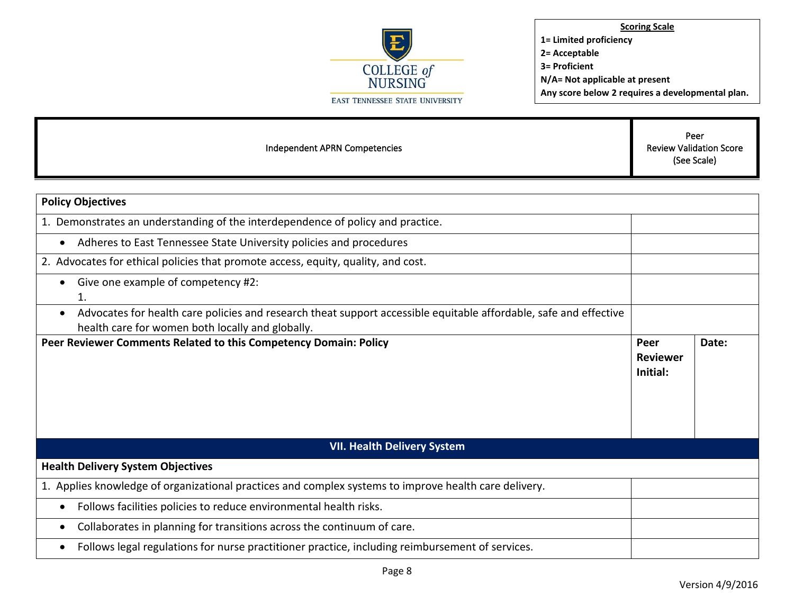

| Independent APRN Competencies                                                                                                                                                      |                                     | Peer<br><b>Review Validation Score</b><br>(See Scale) |
|------------------------------------------------------------------------------------------------------------------------------------------------------------------------------------|-------------------------------------|-------------------------------------------------------|
|                                                                                                                                                                                    |                                     |                                                       |
| <b>Policy Objectives</b>                                                                                                                                                           |                                     |                                                       |
| 1. Demonstrates an understanding of the interdependence of policy and practice.                                                                                                    |                                     |                                                       |
| Adheres to East Tennessee State University policies and procedures<br>$\bullet$                                                                                                    |                                     |                                                       |
| 2. Advocates for ethical policies that promote access, equity, quality, and cost.                                                                                                  |                                     |                                                       |
| Give one example of competency #2:<br>$\bullet$<br>1.                                                                                                                              |                                     |                                                       |
| Advocates for health care policies and research theat support accessible equitable affordable, safe and effective<br>$\bullet$<br>health care for women both locally and globally. |                                     |                                                       |
| Peer Reviewer Comments Related to this Competency Domain: Policy                                                                                                                   | Peer<br><b>Reviewer</b><br>Initial: | Date:                                                 |
|                                                                                                                                                                                    |                                     |                                                       |
| <b>VII. Health Delivery System</b>                                                                                                                                                 |                                     |                                                       |
| <b>Health Delivery System Objectives</b>                                                                                                                                           |                                     |                                                       |
| 1. Applies knowledge of organizational practices and complex systems to improve health care delivery.                                                                              |                                     |                                                       |
| Follows facilities policies to reduce environmental health risks.<br>$\bullet$                                                                                                     |                                     |                                                       |
| Collaborates in planning for transitions across the continuum of care.<br>٠                                                                                                        |                                     |                                                       |
| Follows legal regulations for nurse practitioner practice, including reimbursement of services.<br>$\bullet$                                                                       |                                     |                                                       |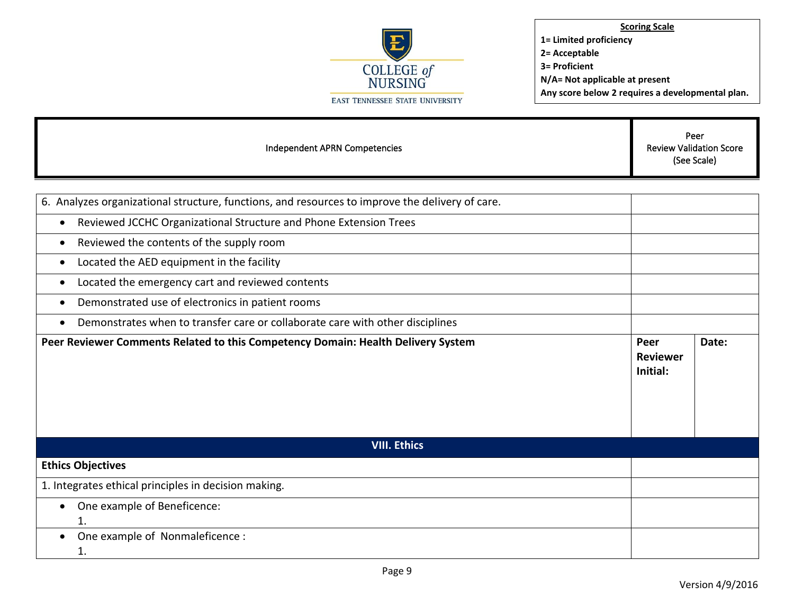

| Independent APRN Competencies                                                                   |                                     | Peer<br><b>Review Validation Score</b><br>(See Scale) |
|-------------------------------------------------------------------------------------------------|-------------------------------------|-------------------------------------------------------|
|                                                                                                 |                                     |                                                       |
| 6. Analyzes organizational structure, functions, and resources to improve the delivery of care. |                                     |                                                       |
| Reviewed JCCHC Organizational Structure and Phone Extension Trees<br>$\bullet$                  |                                     |                                                       |
| Reviewed the contents of the supply room<br>$\bullet$                                           |                                     |                                                       |
| Located the AED equipment in the facility<br>$\bullet$                                          |                                     |                                                       |
| Located the emergency cart and reviewed contents                                                |                                     |                                                       |
| Demonstrated use of electronics in patient rooms<br>$\bullet$                                   |                                     |                                                       |
| Demonstrates when to transfer care or collaborate care with other disciplines                   |                                     |                                                       |
| Peer Reviewer Comments Related to this Competency Domain: Health Delivery System                | Peer<br><b>Reviewer</b><br>Initial: | Date:                                                 |
| <b>VIII. Ethics</b>                                                                             |                                     |                                                       |
| <b>Ethics Objectives</b>                                                                        |                                     |                                                       |
| 1. Integrates ethical principles in decision making.                                            |                                     |                                                       |
| One example of Beneficence:<br>$\bullet$<br>1.                                                  |                                     |                                                       |
| One example of Nonmaleficence :<br>1.                                                           |                                     |                                                       |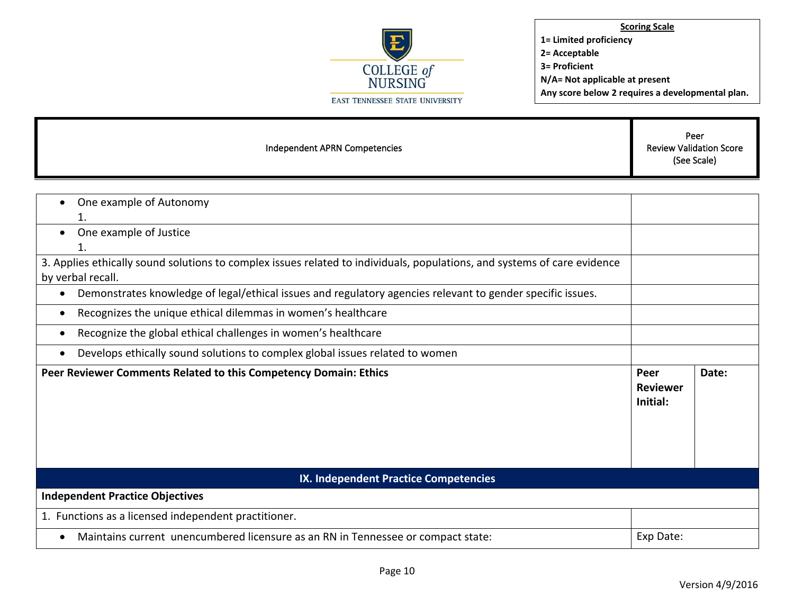

г

| Independent APRN Competencies                                                                                                                 |                                     | Peer<br><b>Review Validation Score</b><br>(See Scale) |  |
|-----------------------------------------------------------------------------------------------------------------------------------------------|-------------------------------------|-------------------------------------------------------|--|
|                                                                                                                                               |                                     |                                                       |  |
| One example of Autonomy<br>1.                                                                                                                 |                                     |                                                       |  |
| One example of Justice<br>$\bullet$<br>1.                                                                                                     |                                     |                                                       |  |
| 3. Applies ethically sound solutions to complex issues related to individuals, populations, and systems of care evidence<br>by verbal recall. |                                     |                                                       |  |
| Demonstrates knowledge of legal/ethical issues and regulatory agencies relevant to gender specific issues.<br>$\bullet$                       |                                     |                                                       |  |
| Recognizes the unique ethical dilemmas in women's healthcare<br>$\bullet$                                                                     |                                     |                                                       |  |
| Recognize the global ethical challenges in women's healthcare<br>$\bullet$                                                                    |                                     |                                                       |  |
| Develops ethically sound solutions to complex global issues related to women<br>$\bullet$                                                     |                                     |                                                       |  |
| Peer Reviewer Comments Related to this Competency Domain: Ethics                                                                              | Peer<br><b>Reviewer</b><br>Initial: | Date:                                                 |  |
| IX. Independent Practice Competencies                                                                                                         |                                     |                                                       |  |
| <b>Independent Practice Objectives</b>                                                                                                        |                                     |                                                       |  |
| 1. Functions as a licensed independent practitioner.                                                                                          |                                     |                                                       |  |
| Maintains current unencumbered licensure as an RN in Tennessee or compact state:<br>$\bullet$                                                 | Exp Date:                           |                                                       |  |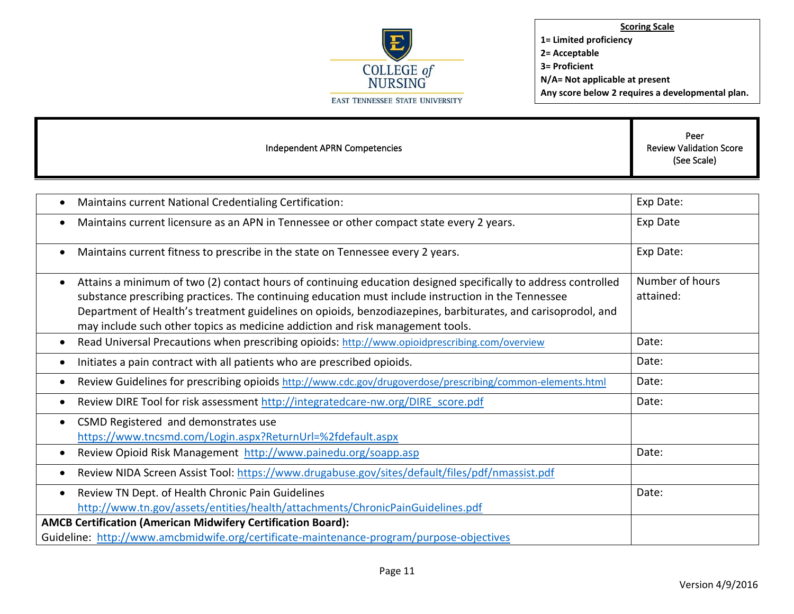

| Independent APRN Competencies                                                                                                                                                                                                                                                                                                                                                                                                        | Peer<br><b>Review Validation Score</b><br>(See Scale) |
|--------------------------------------------------------------------------------------------------------------------------------------------------------------------------------------------------------------------------------------------------------------------------------------------------------------------------------------------------------------------------------------------------------------------------------------|-------------------------------------------------------|
|                                                                                                                                                                                                                                                                                                                                                                                                                                      |                                                       |
| Maintains current National Credentialing Certification:<br>$\bullet$                                                                                                                                                                                                                                                                                                                                                                 | Exp Date:                                             |
| Maintains current licensure as an APN in Tennessee or other compact state every 2 years.<br>$\bullet$                                                                                                                                                                                                                                                                                                                                | Exp Date                                              |
| Maintains current fitness to prescribe in the state on Tennessee every 2 years.<br>٠                                                                                                                                                                                                                                                                                                                                                 | Exp Date:                                             |
| Attains a minimum of two (2) contact hours of continuing education designed specifically to address controlled<br>$\bullet$<br>substance prescribing practices. The continuing education must include instruction in the Tennessee<br>Department of Health's treatment guidelines on opioids, benzodiazepines, barbiturates, and carisoprodol, and<br>may include such other topics as medicine addiction and risk management tools. | Number of hours<br>attained:                          |
| Read Universal Precautions when prescribing opioids: http://www.opioidprescribing.com/overview<br>٠                                                                                                                                                                                                                                                                                                                                  | Date:                                                 |
| Initiates a pain contract with all patients who are prescribed opioids.<br>$\bullet$                                                                                                                                                                                                                                                                                                                                                 | Date:                                                 |
| Review Guidelines for prescribing opioids http://www.cdc.gov/drugoverdose/prescribing/common-elements.html<br>٠                                                                                                                                                                                                                                                                                                                      | Date:                                                 |
| Review DIRE Tool for risk assessment http://integratedcare-nw.org/DIRE score.pdf<br>$\bullet$                                                                                                                                                                                                                                                                                                                                        | Date:                                                 |
| CSMD Registered and demonstrates use<br>$\bullet$<br>https://www.tncsmd.com/Login.aspx?ReturnUrl=%2fdefault.aspx                                                                                                                                                                                                                                                                                                                     |                                                       |
| Review Opioid Risk Management http://www.painedu.org/soapp.asp<br>٠                                                                                                                                                                                                                                                                                                                                                                  | Date:                                                 |
| Review NIDA Screen Assist Tool: https://www.drugabuse.gov/sites/default/files/pdf/nmassist.pdf<br>$\bullet$                                                                                                                                                                                                                                                                                                                          |                                                       |
| Review TN Dept. of Health Chronic Pain Guidelines<br>$\bullet$<br>http://www.tn.gov/assets/entities/health/attachments/ChronicPainGuidelines.pdf                                                                                                                                                                                                                                                                                     | Date:                                                 |
| <b>AMCB Certification (American Midwifery Certification Board):</b>                                                                                                                                                                                                                                                                                                                                                                  |                                                       |
| Guideline: http://www.amcbmidwife.org/certificate-maintenance-program/purpose-objectives                                                                                                                                                                                                                                                                                                                                             |                                                       |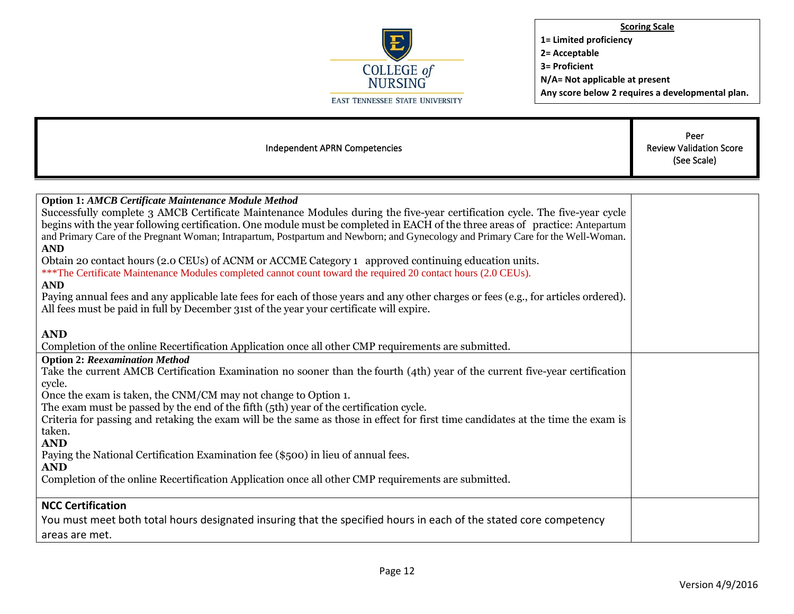

| Independent APRN Competencies                                                                                                                                                                                                                                                                                                                                                                                                                                                                                                                                                                                                                                                                                                                                                                                                                                                                                                                          | Peer<br><b>Review Validation Score</b><br>(See Scale) |
|--------------------------------------------------------------------------------------------------------------------------------------------------------------------------------------------------------------------------------------------------------------------------------------------------------------------------------------------------------------------------------------------------------------------------------------------------------------------------------------------------------------------------------------------------------------------------------------------------------------------------------------------------------------------------------------------------------------------------------------------------------------------------------------------------------------------------------------------------------------------------------------------------------------------------------------------------------|-------------------------------------------------------|
|                                                                                                                                                                                                                                                                                                                                                                                                                                                                                                                                                                                                                                                                                                                                                                                                                                                                                                                                                        |                                                       |
| <b>Option 1: AMCB Certificate Maintenance Module Method</b><br>Successfully complete 3 AMCB Certificate Maintenance Modules during the five-year certification cycle. The five-year cycle<br>begins with the year following certification. One module must be completed in EACH of the three areas of practice: Antepartum<br>and Primary Care of the Pregnant Woman; Intrapartum, Postpartum and Newborn; and Gynecology and Primary Care for the Well-Woman.<br><b>AND</b><br>Obtain 20 contact hours (2.0 CEUs) of ACNM or ACCME Category 1 approved continuing education units.<br>***The Certificate Maintenance Modules completed cannot count toward the required 20 contact hours (2.0 CEUs).<br><b>AND</b><br>Paying annual fees and any applicable late fees for each of those years and any other charges or fees (e.g., for articles ordered).<br>All fees must be paid in full by December 31st of the year your certificate will expire. |                                                       |
| <b>AND</b><br>Completion of the online Recertification Application once all other CMP requirements are submitted.                                                                                                                                                                                                                                                                                                                                                                                                                                                                                                                                                                                                                                                                                                                                                                                                                                      |                                                       |
| <b>Option 2: Reexamination Method</b><br>Take the current AMCB Certification Examination no sooner than the fourth (4th) year of the current five-year certification<br>cycle.<br>Once the exam is taken, the CNM/CM may not change to Option 1.<br>The exam must be passed by the end of the fifth (5th) year of the certification cycle.<br>Criteria for passing and retaking the exam will be the same as those in effect for first time candidates at the time the exam is<br>taken.<br><b>AND</b><br>Paying the National Certification Examination fee (\$500) in lieu of annual fees.<br><b>AND</b><br>Completion of the online Recertification Application once all other CMP requirements are submitted.                                                                                                                                                                                                                                       |                                                       |
| <b>NCC Certification</b><br>You must meet both total hours designated insuring that the specified hours in each of the stated core competency<br>areas are met.                                                                                                                                                                                                                                                                                                                                                                                                                                                                                                                                                                                                                                                                                                                                                                                        |                                                       |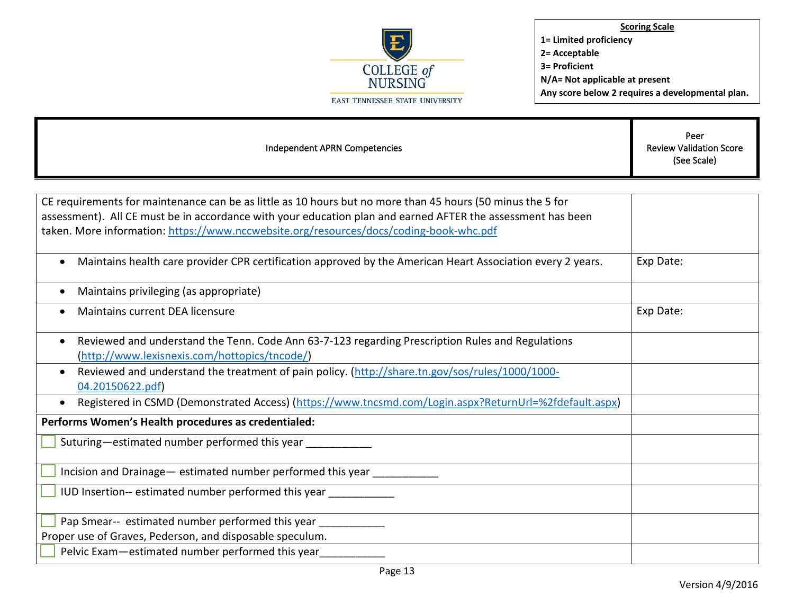

F

**Scoring Scale 1= Limited proficiency 2= Acceptable 3= Proficient N/A= Not applicable at present Any score below 2 requires a developmental plan.** 

Т

| Independent APRN Competencies                                                                                                                                                                                                                                                                                       | Peer<br><b>Review Validation Score</b><br>(See Scale) |
|---------------------------------------------------------------------------------------------------------------------------------------------------------------------------------------------------------------------------------------------------------------------------------------------------------------------|-------------------------------------------------------|
|                                                                                                                                                                                                                                                                                                                     |                                                       |
| CE requirements for maintenance can be as little as 10 hours but no more than 45 hours (50 minus the 5 for<br>assessment). All CE must be in accordance with your education plan and earned AFTER the assessment has been<br>taken. More information: https://www.nccwebsite.org/resources/docs/coding-book-whc.pdf |                                                       |
| Maintains health care provider CPR certification approved by the American Heart Association every 2 years.                                                                                                                                                                                                          | Exp Date:                                             |
| Maintains privileging (as appropriate)                                                                                                                                                                                                                                                                              |                                                       |
| Maintains current DEA licensure                                                                                                                                                                                                                                                                                     | Exp Date:                                             |
| Reviewed and understand the Tenn. Code Ann 63-7-123 regarding Prescription Rules and Regulations<br>$\bullet$<br>(http://www.lexisnexis.com/hottopics/tncode/)                                                                                                                                                      |                                                       |
| Reviewed and understand the treatment of pain policy. (http://share.tn.gov/sos/rules/1000/1000-<br>04.20150622.pdf)                                                                                                                                                                                                 |                                                       |
| Registered in CSMD (Demonstrated Access) (https://www.tncsmd.com/Login.aspx?ReturnUrl=%2fdefault.aspx)                                                                                                                                                                                                              |                                                       |
| Performs Women's Health procedures as credentialed:                                                                                                                                                                                                                                                                 |                                                       |
| Suturing-estimated number performed this year __________                                                                                                                                                                                                                                                            |                                                       |
| Incision and Drainage - estimated number performed this year ___________                                                                                                                                                                                                                                            |                                                       |
| IUD Insertion-- estimated number performed this year                                                                                                                                                                                                                                                                |                                                       |
| Pap Smear-- estimated number performed this year                                                                                                                                                                                                                                                                    |                                                       |
| Proper use of Graves, Pederson, and disposable speculum.                                                                                                                                                                                                                                                            |                                                       |
| Pelvic Exam-estimated number performed this year                                                                                                                                                                                                                                                                    |                                                       |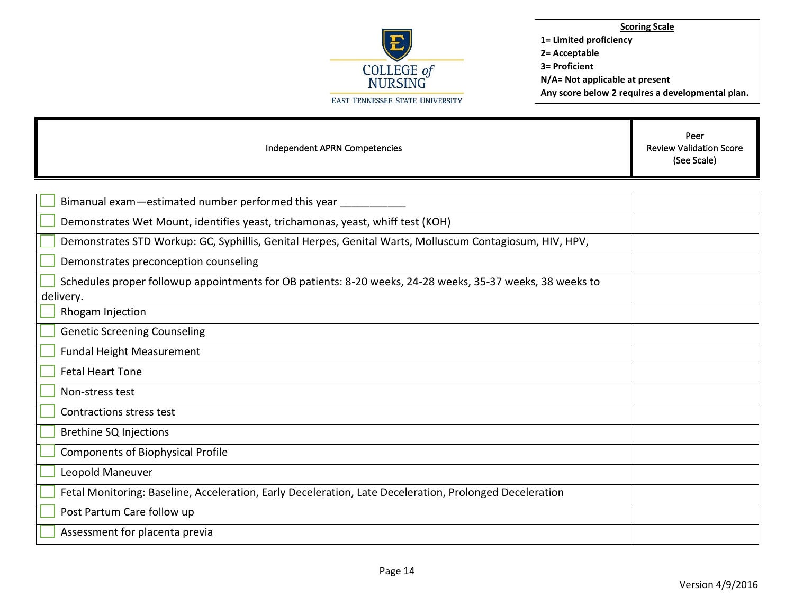

Independent APRN Competencies

Peer Review Validation Score (See Scale)

| Bimanual exam-estimated number performed this year                                                                     |  |
|------------------------------------------------------------------------------------------------------------------------|--|
| Demonstrates Wet Mount, identifies yeast, trichamonas, yeast, whiff test (KOH)                                         |  |
| Demonstrates STD Workup: GC, Syphillis, Genital Herpes, Genital Warts, Molluscum Contagiosum, HIV, HPV,                |  |
| Demonstrates preconception counseling                                                                                  |  |
| Schedules proper followup appointments for OB patients: 8-20 weeks, 24-28 weeks, 35-37 weeks, 38 weeks to<br>delivery. |  |
| Rhogam Injection                                                                                                       |  |
| <b>Genetic Screening Counseling</b>                                                                                    |  |
| <b>Fundal Height Measurement</b>                                                                                       |  |
| <b>Fetal Heart Tone</b>                                                                                                |  |
| Non-stress test                                                                                                        |  |
| Contractions stress test                                                                                               |  |
| <b>Brethine SQ Injections</b>                                                                                          |  |
| <b>Components of Biophysical Profile</b>                                                                               |  |
| Leopold Maneuver                                                                                                       |  |
| Fetal Monitoring: Baseline, Acceleration, Early Deceleration, Late Deceleration, Prolonged Deceleration                |  |
| Post Partum Care follow up                                                                                             |  |
| Assessment for placenta previa                                                                                         |  |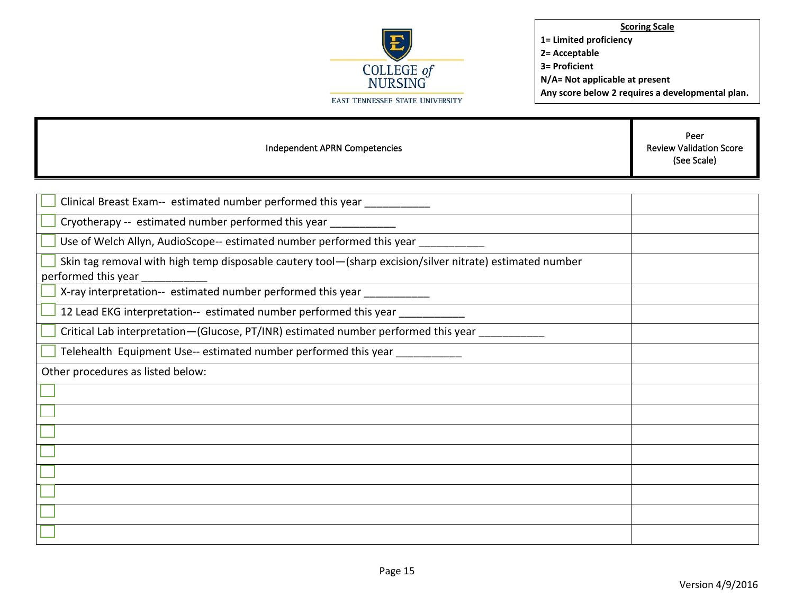

Independent APRN Competencies Peer Review Validation Score (See Scale) Clinical Breast Exam-- estimated number performed this year \_\_\_\_\_\_\_\_\_\_\_ Cryotherapy -- estimated number performed this year Use of Welch Allyn, AudioScope-- estimated number performed this year \_\_\_\_\_\_\_\_\_\_ Skin tag removal with high temp disposable cautery tool—(sharp excision/silver nitrate) estimated number performed this year \_\_\_\_\_\_\_\_\_\_\_ X-ray interpretation-- estimated number performed this year \_\_\_\_\_\_\_\_\_\_\_ 12 Lead EKG interpretation-- estimated number performed this year Critical Lab interpretation—(Glucose, PT/INR) estimated number performed this year Telehealth Equipment Use-- estimated number performed this year \_\_\_\_\_\_\_\_\_\_\_ Other procedures as listed below: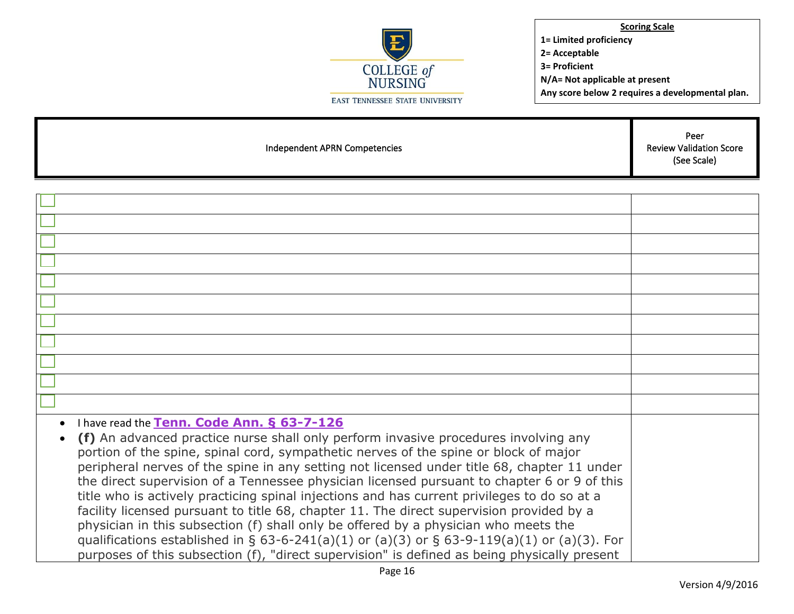**COLLEGE of**<br>NURSING EAST TENNESSEE STATE UNIVERSITY

**Scoring Scale 1= Limited proficiency 2= Acceptable 3= Proficient N/A= Not applicable at present Any score below 2 requires a developmental plan.** 

T

| Independent APRN Competencies                                                                                                                                                                                                                                                                                                                                                                                                                                                                                                                                                                                                                                                                                                                                                                                                                                                                            | Peer<br><b>Review Validation Score</b><br>(See Scale) |
|----------------------------------------------------------------------------------------------------------------------------------------------------------------------------------------------------------------------------------------------------------------------------------------------------------------------------------------------------------------------------------------------------------------------------------------------------------------------------------------------------------------------------------------------------------------------------------------------------------------------------------------------------------------------------------------------------------------------------------------------------------------------------------------------------------------------------------------------------------------------------------------------------------|-------------------------------------------------------|
|                                                                                                                                                                                                                                                                                                                                                                                                                                                                                                                                                                                                                                                                                                                                                                                                                                                                                                          |                                                       |
|                                                                                                                                                                                                                                                                                                                                                                                                                                                                                                                                                                                                                                                                                                                                                                                                                                                                                                          |                                                       |
|                                                                                                                                                                                                                                                                                                                                                                                                                                                                                                                                                                                                                                                                                                                                                                                                                                                                                                          |                                                       |
|                                                                                                                                                                                                                                                                                                                                                                                                                                                                                                                                                                                                                                                                                                                                                                                                                                                                                                          |                                                       |
|                                                                                                                                                                                                                                                                                                                                                                                                                                                                                                                                                                                                                                                                                                                                                                                                                                                                                                          |                                                       |
|                                                                                                                                                                                                                                                                                                                                                                                                                                                                                                                                                                                                                                                                                                                                                                                                                                                                                                          |                                                       |
|                                                                                                                                                                                                                                                                                                                                                                                                                                                                                                                                                                                                                                                                                                                                                                                                                                                                                                          |                                                       |
|                                                                                                                                                                                                                                                                                                                                                                                                                                                                                                                                                                                                                                                                                                                                                                                                                                                                                                          |                                                       |
|                                                                                                                                                                                                                                                                                                                                                                                                                                                                                                                                                                                                                                                                                                                                                                                                                                                                                                          |                                                       |
|                                                                                                                                                                                                                                                                                                                                                                                                                                                                                                                                                                                                                                                                                                                                                                                                                                                                                                          |                                                       |
|                                                                                                                                                                                                                                                                                                                                                                                                                                                                                                                                                                                                                                                                                                                                                                                                                                                                                                          |                                                       |
|                                                                                                                                                                                                                                                                                                                                                                                                                                                                                                                                                                                                                                                                                                                                                                                                                                                                                                          |                                                       |
| I have read the Tenn. Code Ann. § 63-7-126<br>(f) An advanced practice nurse shall only perform invasive procedures involving any<br>portion of the spine, spinal cord, sympathetic nerves of the spine or block of major<br>peripheral nerves of the spine in any setting not licensed under title 68, chapter 11 under<br>the direct supervision of a Tennessee physician licensed pursuant to chapter 6 or 9 of this<br>title who is actively practicing spinal injections and has current privileges to do so at a<br>facility licensed pursuant to title 68, chapter 11. The direct supervision provided by a<br>physician in this subsection (f) shall only be offered by a physician who meets the<br>qualifications established in § 63-6-241(a)(1) or (a)(3) or § 63-9-119(a)(1) or (a)(3). For<br>purposes of this subsection (f), "direct supervision" is defined as being physically present |                                                       |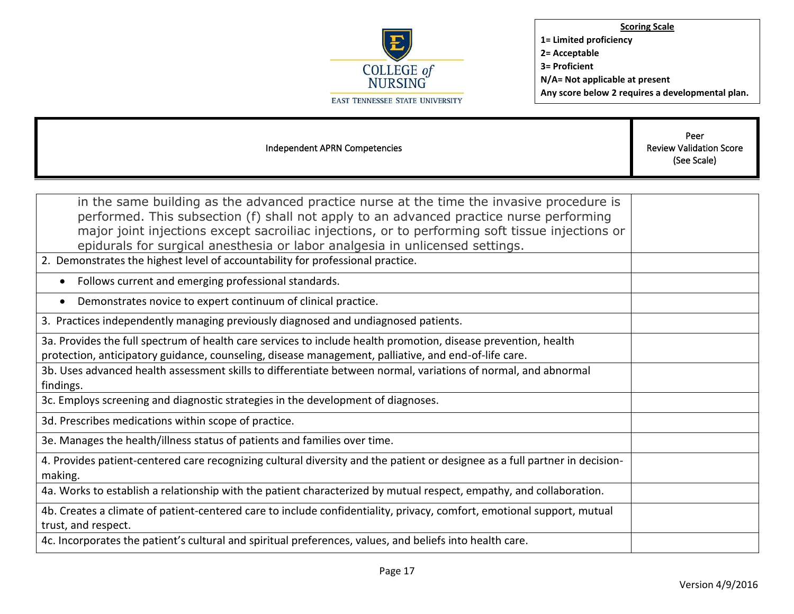

| Independent APRN Competencies                                                                                                                                                                                                                                                                                                                                           | Peer<br><b>Review Validation Score</b><br>(See Scale) |
|-------------------------------------------------------------------------------------------------------------------------------------------------------------------------------------------------------------------------------------------------------------------------------------------------------------------------------------------------------------------------|-------------------------------------------------------|
|                                                                                                                                                                                                                                                                                                                                                                         |                                                       |
| in the same building as the advanced practice nurse at the time the invasive procedure is<br>performed. This subsection (f) shall not apply to an advanced practice nurse performing<br>major joint injections except sacroiliac injections, or to performing soft tissue injections or<br>epidurals for surgical anesthesia or labor analgesia in unlicensed settings. |                                                       |
| 2. Demonstrates the highest level of accountability for professional practice.                                                                                                                                                                                                                                                                                          |                                                       |
| • Follows current and emerging professional standards.                                                                                                                                                                                                                                                                                                                  |                                                       |
| Demonstrates novice to expert continuum of clinical practice.                                                                                                                                                                                                                                                                                                           |                                                       |
| 3. Practices independently managing previously diagnosed and undiagnosed patients.                                                                                                                                                                                                                                                                                      |                                                       |
| 3a. Provides the full spectrum of health care services to include health promotion, disease prevention, health<br>protection, anticipatory guidance, counseling, disease management, palliative, and end-of-life care.                                                                                                                                                  |                                                       |
| 3b. Uses advanced health assessment skills to differentiate between normal, variations of normal, and abnormal<br>findings.                                                                                                                                                                                                                                             |                                                       |
| 3c. Employs screening and diagnostic strategies in the development of diagnoses.                                                                                                                                                                                                                                                                                        |                                                       |
| 3d. Prescribes medications within scope of practice.                                                                                                                                                                                                                                                                                                                    |                                                       |
| 3e. Manages the health/illness status of patients and families over time.                                                                                                                                                                                                                                                                                               |                                                       |
| 4. Provides patient-centered care recognizing cultural diversity and the patient or designee as a full partner in decision-<br>making.                                                                                                                                                                                                                                  |                                                       |
| 4a. Works to establish a relationship with the patient characterized by mutual respect, empathy, and collaboration.                                                                                                                                                                                                                                                     |                                                       |
| 4b. Creates a climate of patient-centered care to include confidentiality, privacy, comfort, emotional support, mutual<br>trust, and respect.                                                                                                                                                                                                                           |                                                       |
| 4c. Incorporates the patient's cultural and spiritual preferences, values, and beliefs into health care.                                                                                                                                                                                                                                                                |                                                       |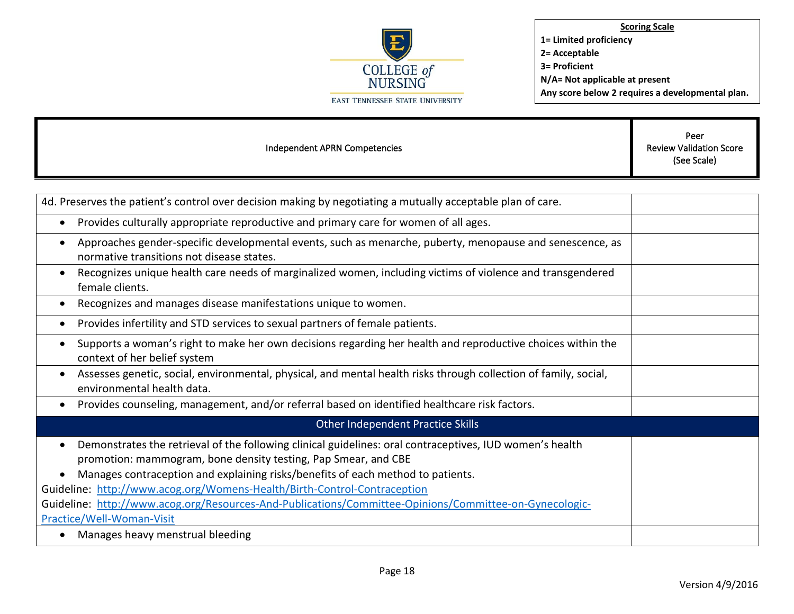

| Independent APRN Competencies                                                                                                                                                                                                                                                                                                                          | Peer<br><b>Review Validation Score</b><br>(See Scale) |
|--------------------------------------------------------------------------------------------------------------------------------------------------------------------------------------------------------------------------------------------------------------------------------------------------------------------------------------------------------|-------------------------------------------------------|
|                                                                                                                                                                                                                                                                                                                                                        |                                                       |
| 4d. Preserves the patient's control over decision making by negotiating a mutually acceptable plan of care.                                                                                                                                                                                                                                            |                                                       |
| Provides culturally appropriate reproductive and primary care for women of all ages.<br>$\bullet$                                                                                                                                                                                                                                                      |                                                       |
| Approaches gender-specific developmental events, such as menarche, puberty, menopause and senescence, as<br>٠<br>normative transitions not disease states.                                                                                                                                                                                             |                                                       |
| Recognizes unique health care needs of marginalized women, including victims of violence and transgendered<br>$\bullet$<br>female clients.                                                                                                                                                                                                             |                                                       |
| Recognizes and manages disease manifestations unique to women.<br>$\bullet$                                                                                                                                                                                                                                                                            |                                                       |
| Provides infertility and STD services to sexual partners of female patients.<br>$\bullet$                                                                                                                                                                                                                                                              |                                                       |
| Supports a woman's right to make her own decisions regarding her health and reproductive choices within the<br>$\bullet$<br>context of her belief system                                                                                                                                                                                               |                                                       |
| Assesses genetic, social, environmental, physical, and mental health risks through collection of family, social,<br>$\bullet$<br>environmental health data.                                                                                                                                                                                            |                                                       |
| Provides counseling, management, and/or referral based on identified healthcare risk factors.<br>$\bullet$                                                                                                                                                                                                                                             |                                                       |
| Other Independent Practice Skills                                                                                                                                                                                                                                                                                                                      |                                                       |
| Demonstrates the retrieval of the following clinical guidelines: oral contraceptives, IUD women's health<br>$\bullet$<br>promotion: mammogram, bone density testing, Pap Smear, and CBE<br>Manages contraception and explaining risks/benefits of each method to patients.<br>Guideline: http://www.acog.org/Womens-Health/Birth-Control-Contraception |                                                       |
| Guideline: http://www.acog.org/Resources-And-Publications/Committee-Opinions/Committee-on-Gynecologic-                                                                                                                                                                                                                                                 |                                                       |

[Practice/Well-Woman-Visit](http://www.acog.org/Resources-And-Publications/Committee-Opinions/Committee-on-Gynecologic-Practice/Well-Woman-Visit)

• Manages heavy menstrual bleeding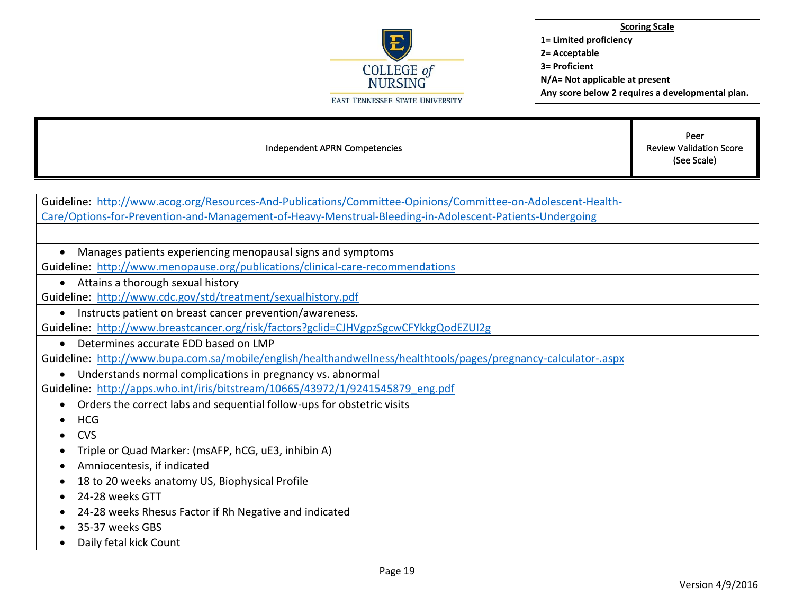

Т

| Independent APRN Competencies                                                                                   | Peer<br><b>Review Validation Score</b><br>(See Scale) |
|-----------------------------------------------------------------------------------------------------------------|-------------------------------------------------------|
|                                                                                                                 |                                                       |
| Guideline: http://www.acog.org/Resources-And-Publications/Committee-Opinions/Committee-on-Adolescent-Health-    |                                                       |
| Care/Options-for-Prevention-and-Management-of-Heavy-Menstrual-Bleeding-in-Adolescent-Patients-Undergoing        |                                                       |
|                                                                                                                 |                                                       |
| Manages patients experiencing menopausal signs and symptoms<br>$\bullet$                                        |                                                       |
| Guideline: http://www.menopause.org/publications/clinical-care-recommendations                                  |                                                       |
| Attains a thorough sexual history<br>$\bullet$                                                                  |                                                       |
| Guideline: http://www.cdc.gov/std/treatment/sexualhistory.pdf                                                   |                                                       |
| Instructs patient on breast cancer prevention/awareness.<br>$\bullet$                                           |                                                       |
| Guideline: http://www.breastcancer.org/risk/factors?gclid=CJHVgpzSgcwCFYkkgQodEZUI2g                            |                                                       |
| Determines accurate EDD based on LMP<br>$\bullet$                                                               |                                                       |
| Guideline: http://www.bupa.com.sa/mobile/english/healthandwellness/healthtools/pages/pregnancy-calculator-.aspx |                                                       |
| Understands normal complications in pregnancy vs. abnormal<br>$\bullet$                                         |                                                       |
| Guideline: http://apps.who.int/iris/bitstream/10665/43972/1/9241545879 eng.pdf                                  |                                                       |
| Orders the correct labs and sequential follow-ups for obstetric visits<br>$\bullet$                             |                                                       |
| <b>HCG</b>                                                                                                      |                                                       |
| <b>CVS</b>                                                                                                      |                                                       |
| Triple or Quad Marker: (msAFP, hCG, uE3, inhibin A)                                                             |                                                       |
| Amniocentesis, if indicated                                                                                     |                                                       |
| 18 to 20 weeks anatomy US, Biophysical Profile                                                                  |                                                       |
| 24-28 weeks GTT                                                                                                 |                                                       |
| 24-28 weeks Rhesus Factor if Rh Negative and indicated                                                          |                                                       |
| 35-37 weeks GBS                                                                                                 |                                                       |
| Daily fetal kick Count<br>$\bullet$                                                                             |                                                       |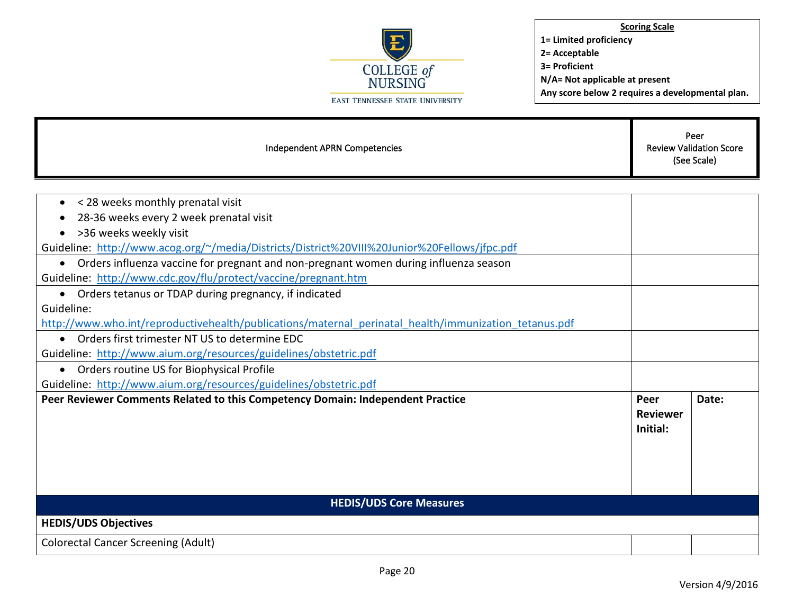

| Independent APRN Competencies                                                                                                                                                                                                                                                                                                                                                                                                                                                                                                                                                                                                                                                                                                                                                                                                                                                                                                         | Peer<br><b>Review Validation Score</b><br>(See Scale) |       |
|---------------------------------------------------------------------------------------------------------------------------------------------------------------------------------------------------------------------------------------------------------------------------------------------------------------------------------------------------------------------------------------------------------------------------------------------------------------------------------------------------------------------------------------------------------------------------------------------------------------------------------------------------------------------------------------------------------------------------------------------------------------------------------------------------------------------------------------------------------------------------------------------------------------------------------------|-------------------------------------------------------|-------|
| < 28 weeks monthly prenatal visit<br>$\bullet$<br>28-36 weeks every 2 week prenatal visit<br>٠<br>>36 weeks weekly visit<br>Guideline: http://www.acog.org/~/media/Districts/District%20VIII%20Junior%20Fellows/ifpc.pdf<br>Orders influenza vaccine for pregnant and non-pregnant women during influenza season<br>$\bullet$<br>Guideline: http://www.cdc.gov/flu/protect/vaccine/pregnant.htm<br>Orders tetanus or TDAP during pregnancy, if indicated<br>$\bullet$<br>Guideline:<br>http://www.who.int/reproductivehealth/publications/maternal perinatal health/immunization tetanus.pdf<br>Orders first trimester NT US to determine EDC<br>$\bullet$<br>Guideline: http://www.aium.org/resources/guidelines/obstetric.pdf<br>• Orders routine US for Biophysical Profile<br>Guideline: http://www.aium.org/resources/guidelines/obstetric.pdf<br>Peer Reviewer Comments Related to this Competency Domain: Independent Practice | Peer<br><b>Reviewer</b>                               | Date: |
| <b>HEDIS/UDS Core Measures</b><br><b>HEDIS/UDS Objectives</b>                                                                                                                                                                                                                                                                                                                                                                                                                                                                                                                                                                                                                                                                                                                                                                                                                                                                         | Initial:                                              |       |
| <b>Colorectal Cancer Screening (Adult)</b>                                                                                                                                                                                                                                                                                                                                                                                                                                                                                                                                                                                                                                                                                                                                                                                                                                                                                            |                                                       |       |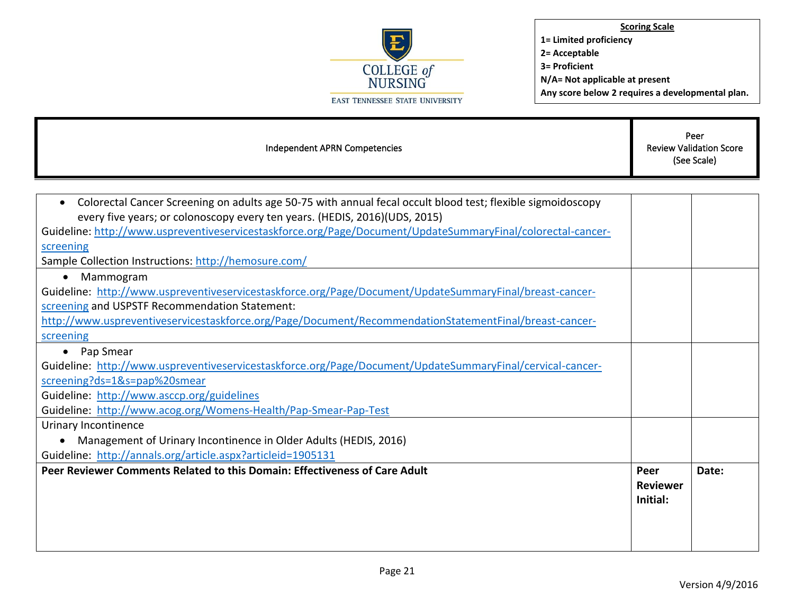

| Independent APRN Competencies                                                                                    | Peer<br><b>Review Validation Score</b><br>(See Scale) |       |
|------------------------------------------------------------------------------------------------------------------|-------------------------------------------------------|-------|
|                                                                                                                  |                                                       |       |
| Colorectal Cancer Screening on adults age 50-75 with annual fecal occult blood test; flexible sigmoidoscopy<br>٠ |                                                       |       |
| every five years; or colonoscopy every ten years. (HEDIS, 2016)(UDS, 2015)                                       |                                                       |       |
| Guideline: http://www.uspreventiveservicestaskforce.org/Page/Document/UpdateSummaryFinal/colorectal-cancer-      |                                                       |       |
| screening                                                                                                        |                                                       |       |
| Sample Collection Instructions: http://hemosure.com/                                                             |                                                       |       |
| Mammogram                                                                                                        |                                                       |       |
| Guideline: http://www.uspreventiveservicestaskforce.org/Page/Document/UpdateSummaryFinal/breast-cancer-          |                                                       |       |
| screening and USPSTF Recommendation Statement:                                                                   |                                                       |       |
| http://www.uspreventiveservicestaskforce.org/Page/Document/RecommendationStatementFinal/breast-cancer-           |                                                       |       |
| screening                                                                                                        |                                                       |       |
| Pap Smear                                                                                                        |                                                       |       |
| Guideline: http://www.uspreventiveservicestaskforce.org/Page/Document/UpdateSummaryFinal/cervical-cancer-        |                                                       |       |
| screening?ds=1&s=pap%20smear                                                                                     |                                                       |       |
| Guideline: http://www.asccp.org/guidelines                                                                       |                                                       |       |
| Guideline: http://www.acog.org/Womens-Health/Pap-Smear-Pap-Test                                                  |                                                       |       |
| <b>Urinary Incontinence</b>                                                                                      |                                                       |       |
| Management of Urinary Incontinence in Older Adults (HEDIS, 2016)                                                 |                                                       |       |
| Guideline: http://annals.org/article.aspx?articleid=1905131                                                      |                                                       |       |
| Peer Reviewer Comments Related to this Domain: Effectiveness of Care Adult                                       | Peer<br><b>Reviewer</b><br>Initial:                   | Date: |
|                                                                                                                  |                                                       |       |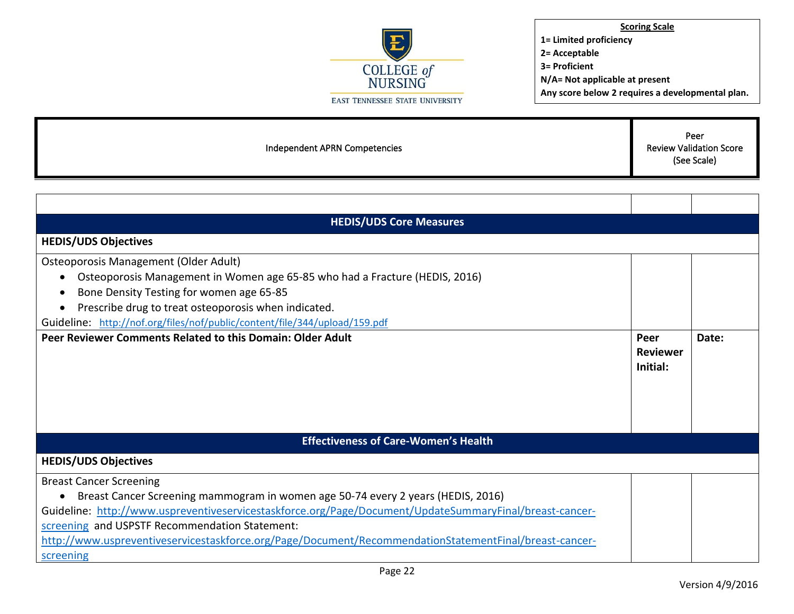

**Scoring Scale 1= Limited proficiency 2= Acceptable 3= Proficient N/A= Not applicable at present**

**Any score below 2 requires a developmental plan.** 

Independent APRN Competencies

Peer Review Validation Score (See Scale)

| <b>HEDIS/UDS Core Measures</b>                                                                          |                                     |       |
|---------------------------------------------------------------------------------------------------------|-------------------------------------|-------|
| <b>HEDIS/UDS Objectives</b>                                                                             |                                     |       |
| Osteoporosis Management (Older Adult)                                                                   |                                     |       |
| Osteoporosis Management in Women age 65-85 who had a Fracture (HEDIS, 2016)                             |                                     |       |
| Bone Density Testing for women age 65-85                                                                |                                     |       |
| Prescribe drug to treat osteoporosis when indicated.                                                    |                                     |       |
| Guideline: http://nof.org/files/nof/public/content/file/344/upload/159.pdf                              |                                     |       |
| Peer Reviewer Comments Related to this Domain: Older Adult                                              | Peer<br><b>Reviewer</b><br>Initial: | Date: |
| <b>Effectiveness of Care-Women's Health</b>                                                             |                                     |       |
| <b>HEDIS/UDS Objectives</b>                                                                             |                                     |       |
| <b>Breast Cancer Screening</b>                                                                          |                                     |       |
| Breast Cancer Screening mammogram in women age 50-74 every 2 years (HEDIS, 2016)                        |                                     |       |
| Guideline: http://www.uspreventiveservicestaskforce.org/Page/Document/UpdateSummaryFinal/breast-cancer- |                                     |       |
| screening and USPSTF Recommendation Statement:                                                          |                                     |       |
| http://www.uspreventiveservicestaskforce.org/Page/Document/RecommendationStatementFinal/breast-cancer-  |                                     |       |
| screening                                                                                               |                                     |       |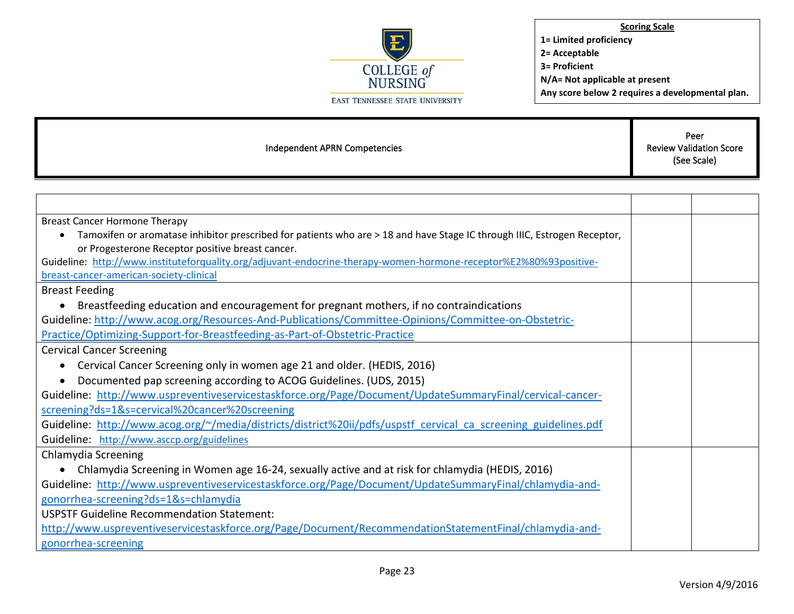

| Independent APRN Competencies                                                                                                         | Peer<br><b>Review Validation Score</b><br>(See Scale) |  |
|---------------------------------------------------------------------------------------------------------------------------------------|-------------------------------------------------------|--|
|                                                                                                                                       |                                                       |  |
|                                                                                                                                       |                                                       |  |
| <b>Breast Cancer Hormone Therapy</b>                                                                                                  |                                                       |  |
| Tamoxifen or aromatase inhibitor prescribed for patients who are > 18 and have Stage IC through IIIC, Estrogen Receptor,<br>$\bullet$ |                                                       |  |
| or Progesterone Receptor positive breast cancer.                                                                                      |                                                       |  |
| Guideline: http://www.instituteforquality.org/adjuvant-endocrine-therapy-women-hormone-receptor%E2%80%93positive-                     |                                                       |  |
| breast-cancer-american-society-clinical                                                                                               |                                                       |  |
| <b>Breast Feeding</b>                                                                                                                 |                                                       |  |
| Breastfeeding education and encouragement for pregnant mothers, if no contraindications<br>$\bullet$                                  |                                                       |  |
| Guideline: http://www.acog.org/Resources-And-Publications/Committee-Opinions/Committee-on-Obstetric-                                  |                                                       |  |
| Practice/Optimizing-Support-for-Breastfeeding-as-Part-of-Obstetric-Practice                                                           |                                                       |  |
| <b>Cervical Cancer Screening</b>                                                                                                      |                                                       |  |
| Cervical Cancer Screening only in women age 21 and older. (HEDIS, 2016)<br>$\bullet$                                                  |                                                       |  |
| Documented pap screening according to ACOG Guidelines. (UDS, 2015)<br>$\bullet$                                                       |                                                       |  |
| Guideline: http://www.uspreventiveservicestaskforce.org/Page/Document/UpdateSummaryFinal/cervical-cancer-                             |                                                       |  |
| screening?ds=1&s=cervical%20cancer%20screening                                                                                        |                                                       |  |
| Guideline: http://www.acog.org/~/media/districts/district%20ii/pdfs/uspstf cervical ca screening guidelines.pdf                       |                                                       |  |
| Guideline: http://www.asccp.org/guidelines                                                                                            |                                                       |  |
| Chlamydia Screening                                                                                                                   |                                                       |  |
| Chlamydia Screening in Women age 16-24, sexually active and at risk for chlamydia (HEDIS, 2016)                                       |                                                       |  |
| Guideline: http://www.uspreventiveservicestaskforce.org/Page/Document/UpdateSummaryFinal/chlamydia-and-                               |                                                       |  |
| gonorrhea-screening?ds=1&s=chlamydia                                                                                                  |                                                       |  |
| <b>USPSTF Guideline Recommendation Statement:</b>                                                                                     |                                                       |  |
| http://www.uspreventiveservicestaskforce.org/Page/Document/RecommendationStatementFinal/chlamydia-and-                                |                                                       |  |
| gonorrhea-screening                                                                                                                   |                                                       |  |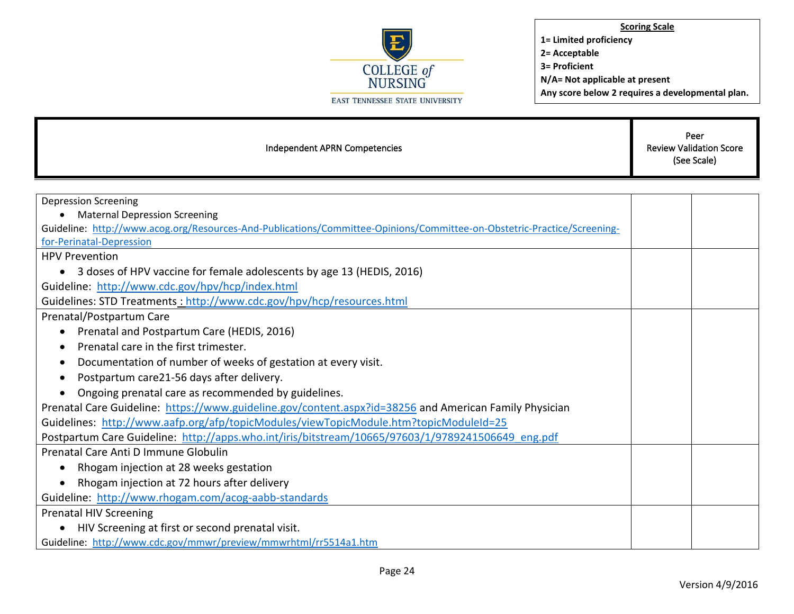

| Independent APRN Competencies                                                                                                                                   | Peer<br><b>Review Validation Score</b><br>(See Scale) |  |
|-----------------------------------------------------------------------------------------------------------------------------------------------------------------|-------------------------------------------------------|--|
|                                                                                                                                                                 |                                                       |  |
| <b>Depression Screening</b>                                                                                                                                     |                                                       |  |
| <b>Maternal Depression Screening</b><br>Guideline: http://www.acog.org/Resources-And-Publications/Committee-Opinions/Committee-on-Obstetric-Practice/Screening- |                                                       |  |
| for-Perinatal-Depression                                                                                                                                        |                                                       |  |
| <b>HPV Prevention</b>                                                                                                                                           |                                                       |  |
| 3 doses of HPV vaccine for female adolescents by age 13 (HEDIS, 2016)<br>$\bullet$                                                                              |                                                       |  |
| Guideline: http://www.cdc.gov/hpv/hcp/index.html                                                                                                                |                                                       |  |
| Guidelines: STD Treatments : http://www.cdc.gov/hpv/hcp/resources.html                                                                                          |                                                       |  |
| Prenatal/Postpartum Care                                                                                                                                        |                                                       |  |
| Prenatal and Postpartum Care (HEDIS, 2016)<br>٠                                                                                                                 |                                                       |  |
| Prenatal care in the first trimester.                                                                                                                           |                                                       |  |
| Documentation of number of weeks of gestation at every visit.                                                                                                   |                                                       |  |
| Postpartum care21-56 days after delivery.                                                                                                                       |                                                       |  |
| Ongoing prenatal care as recommended by guidelines.                                                                                                             |                                                       |  |
| Prenatal Care Guideline: https://www.guideline.gov/content.aspx?id=38256 and American Family Physician                                                          |                                                       |  |
| Guidelines: http://www.aafp.org/afp/topicModules/viewTopicModule.htm?topicModuleId=25                                                                           |                                                       |  |
| Postpartum Care Guideline: http://apps.who.int/iris/bitstream/10665/97603/1/9789241506649 eng.pdf                                                               |                                                       |  |
| Prenatal Care Anti D Immune Globulin                                                                                                                            |                                                       |  |
| Rhogam injection at 28 weeks gestation<br>٠                                                                                                                     |                                                       |  |
| Rhogam injection at 72 hours after delivery                                                                                                                     |                                                       |  |
| Guideline: http://www.rhogam.com/acog-aabb-standards                                                                                                            |                                                       |  |
| <b>Prenatal HIV Screening</b>                                                                                                                                   |                                                       |  |
| • HIV Screening at first or second prenatal visit.                                                                                                              |                                                       |  |
| Guideline: http://www.cdc.gov/mmwr/preview/mmwrhtml/rr5514a1.htm                                                                                                |                                                       |  |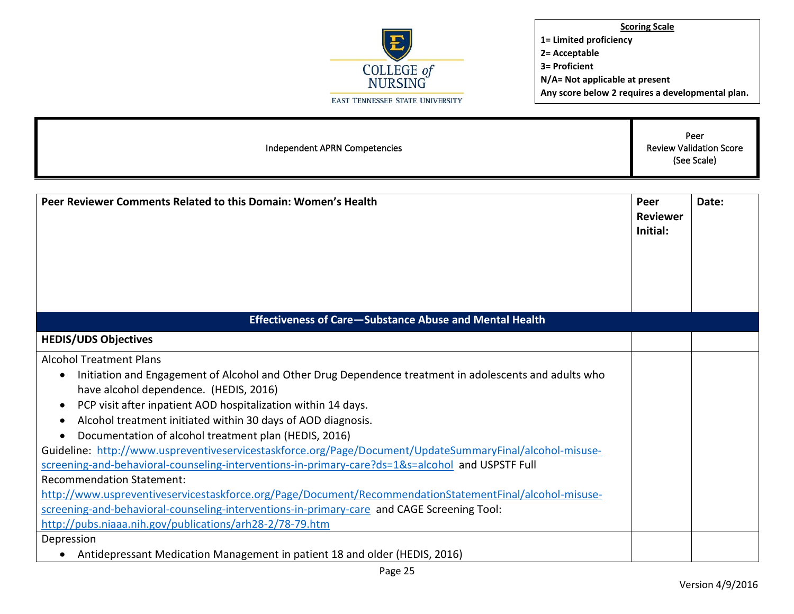

Independent APRN Competencies Peer Review Validation Score (See Scale) **Peer Reviewer Comments Related to this Domain: Women's Health Peer Reviewer Initial: Date: Effectiveness of Care—Substance Abuse and Mental Health HEDIS/UDS Objectives** Alcohol Treatment Plans • Initiation and Engagement of Alcohol and Other Drug Dependence treatment in adolescents and adults who have alcohol dependence. (HEDIS, 2016) • PCP visit after inpatient AOD hospitalization within 14 days. • Alcohol treatment initiated within 30 days of AOD diagnosis. • Documentation of alcohol treatment plan (HEDIS, 2016) Guideline: [http://www.uspreventiveservicestaskforce.org/Page/Document/UpdateSummaryFinal/alcohol-misuse](http://www.uspreventiveservicestaskforce.org/Page/Document/UpdateSummaryFinal/alcohol-misuse-screening-and-behavioral-counseling-interventions-in-primary-care?ds=1&s=alcohol)[screening-and-behavioral-counseling-interventions-in-primary-care?ds=1&s=alcohol](http://www.uspreventiveservicestaskforce.org/Page/Document/UpdateSummaryFinal/alcohol-misuse-screening-and-behavioral-counseling-interventions-in-primary-care?ds=1&s=alcohol) and USPSTF Full Recommendation Statement: [http://www.uspreventiveservicestaskforce.org/Page/Document/RecommendationStatementFinal/alcohol-misuse](http://www.uspreventiveservicestaskforce.org/Page/Document/RecommendationStatementFinal/alcohol-misuse-screening-and-behavioral-counseling-interventions-in-primary-care)[screening-and-behavioral-counseling-interventions-in-primary-care](http://www.uspreventiveservicestaskforce.org/Page/Document/RecommendationStatementFinal/alcohol-misuse-screening-and-behavioral-counseling-interventions-in-primary-care) and CAGE Screening Tool: <http://pubs.niaaa.nih.gov/publications/arh28-2/78-79.htm> Depression • Antidepressant Medication Management in patient 18 and older (HEDIS, 2016)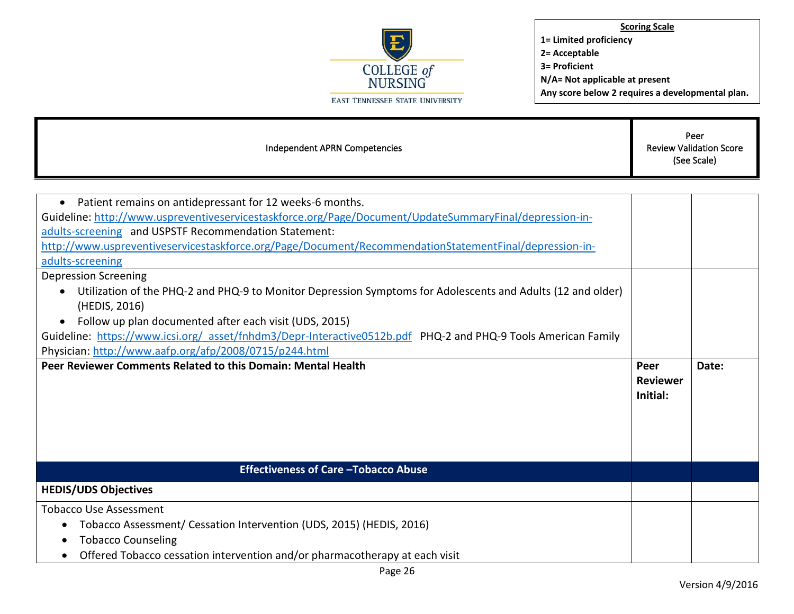

| Peer<br><b>Review Validation Score</b><br>Independent APRN Competencies<br>(See Scale)                                                                                           |                                     |       |
|----------------------------------------------------------------------------------------------------------------------------------------------------------------------------------|-------------------------------------|-------|
|                                                                                                                                                                                  |                                     |       |
| Patient remains on antidepressant for 12 weeks-6 months.<br>$\bullet$<br>Guideline: http://www.uspreventiveservicestaskforce.org/Page/Document/UpdateSummaryFinal/depression-in- |                                     |       |
| adults-screening and USPSTF Recommendation Statement:                                                                                                                            |                                     |       |
| http://www.uspreventiveservicestaskforce.org/Page/Document/RecommendationStatementFinal/depression-in-                                                                           |                                     |       |
| adults-screening                                                                                                                                                                 |                                     |       |
| <b>Depression Screening</b>                                                                                                                                                      |                                     |       |
| Utilization of the PHQ-2 and PHQ-9 to Monitor Depression Symptoms for Adolescents and Adults (12 and older)                                                                      |                                     |       |
| (HEDIS, 2016)                                                                                                                                                                    |                                     |       |
| Follow up plan documented after each visit (UDS, 2015)                                                                                                                           |                                     |       |
| Guideline: https://www.icsi.org/ asset/fnhdm3/Depr-Interactive0512b.pdf PHQ-2 and PHQ-9 Tools American Family                                                                    |                                     |       |
| Physician: http://www.aafp.org/afp/2008/0715/p244.html                                                                                                                           |                                     |       |
| Peer Reviewer Comments Related to this Domain: Mental Health                                                                                                                     | Peer<br><b>Reviewer</b><br>Initial: | Date: |
|                                                                                                                                                                                  |                                     |       |
| <b>Effectiveness of Care - Tobacco Abuse</b>                                                                                                                                     |                                     |       |
| <b>HEDIS/UDS Objectives</b>                                                                                                                                                      |                                     |       |
| <b>Tobacco Use Assessment</b>                                                                                                                                                    |                                     |       |
| Tobacco Assessment/ Cessation Intervention (UDS, 2015) (HEDIS, 2016)                                                                                                             |                                     |       |
| <b>Tobacco Counseling</b>                                                                                                                                                        |                                     |       |
| Offered Tobacco cessation intervention and/or pharmacotherapy at each visit                                                                                                      |                                     |       |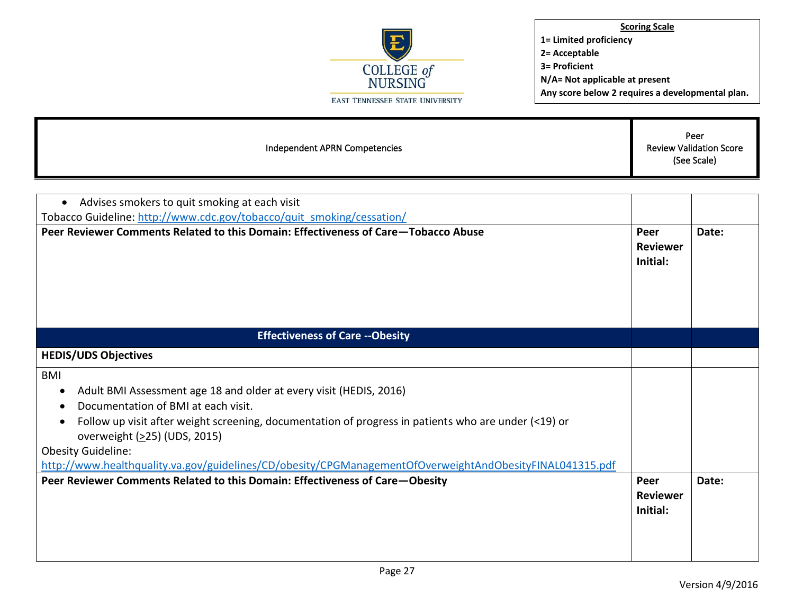

|--|

| Advises smokers to quit smoking at each visit                                                                                        |                                     |       |
|--------------------------------------------------------------------------------------------------------------------------------------|-------------------------------------|-------|
| Tobacco Guideline: http://www.cdc.gov/tobacco/quit smoking/cessation/                                                                |                                     |       |
| Peer Reviewer Comments Related to this Domain: Effectiveness of Care-Tobacco Abuse                                                   | Peer<br><b>Reviewer</b><br>Initial: | Date: |
| <b>Effectiveness of Care -- Obesity</b>                                                                                              |                                     |       |
| <b>HEDIS/UDS Objectives</b>                                                                                                          |                                     |       |
| <b>BMI</b>                                                                                                                           |                                     |       |
| Adult BMI Assessment age 18 and older at every visit (HEDIS, 2016)                                                                   |                                     |       |
| Documentation of BMI at each visit.                                                                                                  |                                     |       |
| Follow up visit after weight screening, documentation of progress in patients who are under (<19) or<br>overweight (>25) (UDS, 2015) |                                     |       |
| <b>Obesity Guideline:</b>                                                                                                            |                                     |       |
| http://www.healthquality.va.gov/guidelines/CD/obesity/CPGManagementOfOverweightAndObesityFINAL041315.pdf                             |                                     |       |
| Peer Reviewer Comments Related to this Domain: Effectiveness of Care-Obesity                                                         | Peer<br><b>Reviewer</b><br>Initial: | Date: |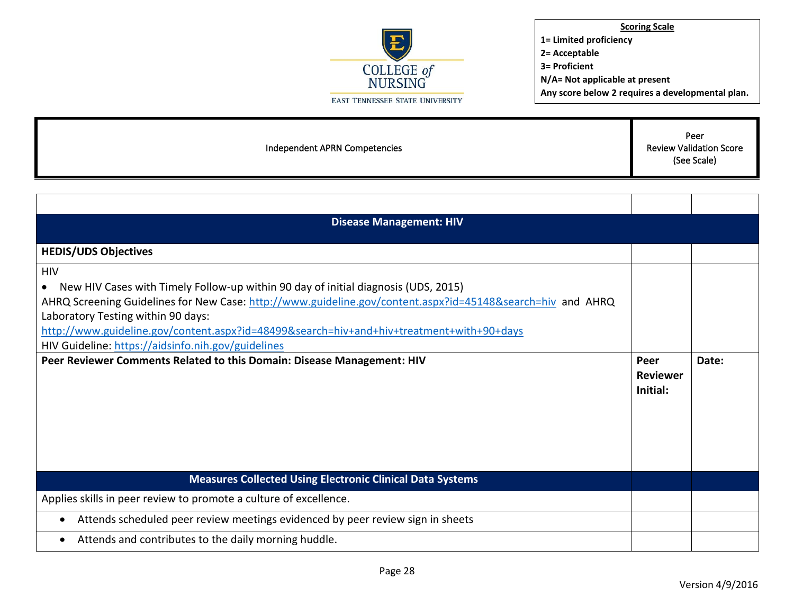

Independent APRN Competencies Peer Review Validation Score (See Scale) **Disease Management: HIV HEDIS/UDS Objectives HIV** • New HIV Cases with Timely Follow-up within 90 day of initial diagnosis (UDS, 2015) AHRQ Screening Guidelines for New Case:<http://www.guideline.gov/content.aspx?id=45148&search=hiv>and AHRQ Laboratory Testing within 90 days: <http://www.guideline.gov/content.aspx?id=48499&search=hiv+and+hiv+treatment+with+90+days> HIV Guideline:<https://aidsinfo.nih.gov/guidelines> **Peer Reviewer Comments Related to this Domain: Disease Management: HIV <b>Peer Peer Peer Reviewer Initial: Date: Measures Collected Using Electronic Clinical Data Systems** Applies skills in peer review to promote a culture of excellence. • Attends scheduled peer review meetings evidenced by peer review sign in sheets • Attends and contributes to the daily morning huddle.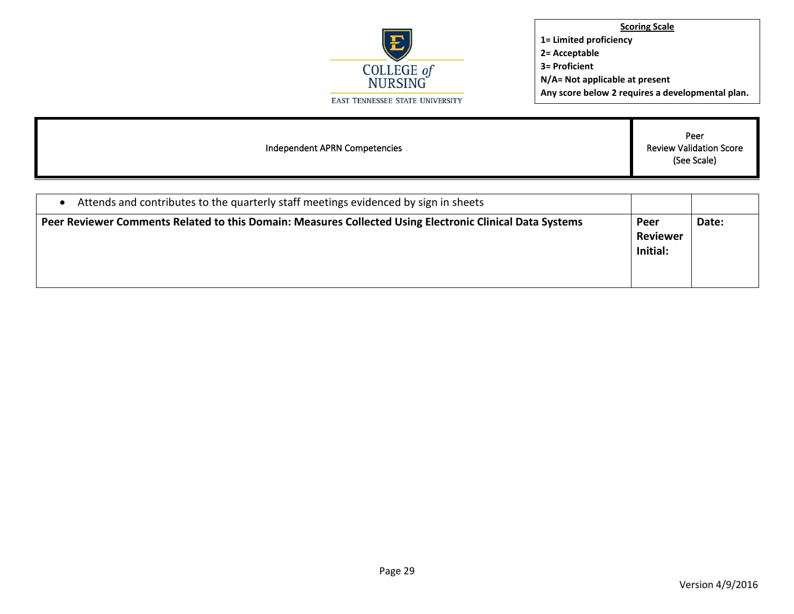

| Independent APRN Competencies                                                       | Peer<br><b>Review Validation Score</b><br>(See Scale) |
|-------------------------------------------------------------------------------------|-------------------------------------------------------|
|                                                                                     |                                                       |
| Attends and contributes to the quarterly staff meetings evidenced by sign in sheets |                                                       |

| Peer Reviewer Comments Related to this Domain: Measures Collected Using Electronic Clinical Data Systems | Peer            | Date: |
|----------------------------------------------------------------------------------------------------------|-----------------|-------|
|                                                                                                          | <b>Reviewer</b> |       |
|                                                                                                          | Initial:        |       |
|                                                                                                          |                 |       |
|                                                                                                          |                 |       |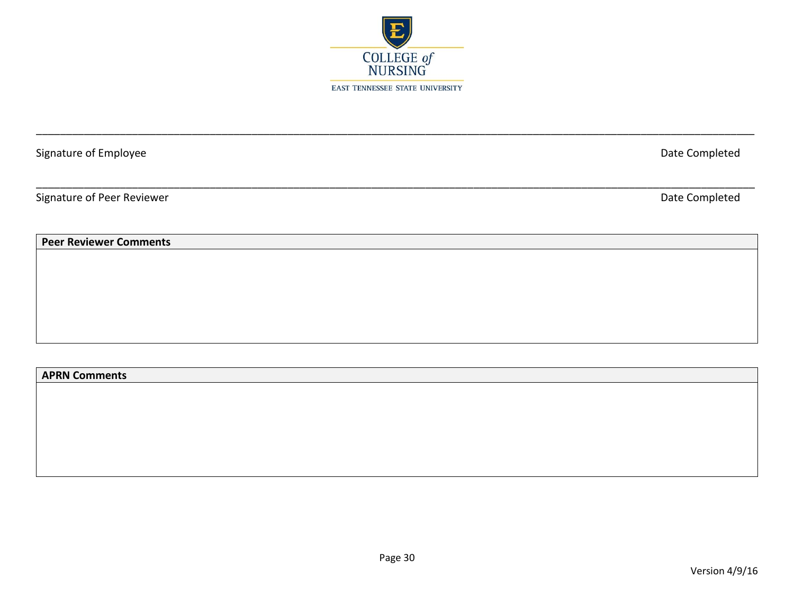

\_\_\_\_\_\_\_\_\_\_\_\_\_\_\_\_\_\_\_\_\_\_\_\_\_\_\_\_\_\_\_\_\_\_\_\_\_\_\_\_\_\_\_\_\_\_\_\_\_\_\_\_\_\_\_\_\_\_\_\_\_\_\_\_\_\_\_\_\_\_\_\_\_\_\_\_\_\_\_\_\_\_\_\_\_\_\_\_\_\_\_\_\_\_\_\_\_\_\_\_\_\_\_\_\_\_\_\_\_\_\_\_\_\_\_\_\_\_\_\_

\_\_\_\_\_\_\_\_\_\_\_\_\_\_\_\_\_\_\_\_\_\_\_\_\_\_\_\_\_\_\_\_\_\_\_\_\_\_\_\_\_\_\_\_\_\_\_\_\_\_\_\_\_\_\_\_\_\_\_\_\_\_\_\_\_\_\_\_\_\_\_\_\_\_\_\_\_\_\_\_\_\_\_\_\_\_\_\_\_\_\_\_\_\_\_\_\_\_\_\_\_\_\_\_\_\_\_\_\_\_\_\_\_\_\_\_\_\_\_\_

Signature of Employee Date Completed

Signature of Peer Reviewer **Date Completed** 

**Peer Reviewer Comments**

## **APRN Comments**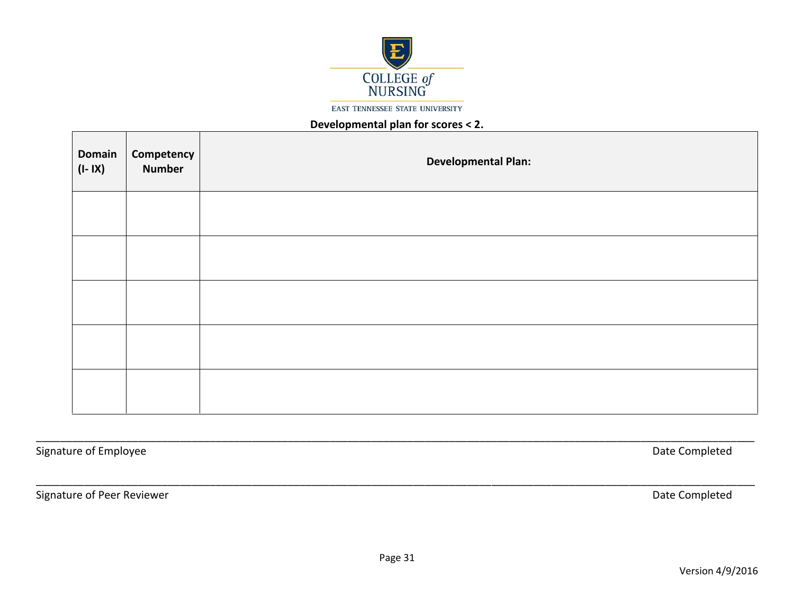

**EAST TENNESSEE STATE UNIVERSITY** 

## **Developmental plan for scores < 2.**

| <b>Domain</b><br>$(I - IX)$ | <b>Competency</b><br>Number | <b>Developmental Plan:</b> |
|-----------------------------|-----------------------------|----------------------------|
|                             |                             |                            |
|                             |                             |                            |
|                             |                             |                            |
|                             |                             |                            |
|                             |                             |                            |

Signature of Employee Date Completed

Signature of Peer Reviewer **Date Completed** 

\_\_\_\_\_\_\_\_\_\_\_\_\_\_\_\_\_\_\_\_\_\_\_\_\_\_\_\_\_\_\_\_\_\_\_\_\_\_\_\_\_\_\_\_\_\_\_\_\_\_\_\_\_\_\_\_\_\_\_\_\_\_\_\_\_\_\_\_\_\_\_\_\_\_\_\_\_\_\_\_\_\_\_\_\_\_\_\_\_\_\_\_\_\_\_\_\_\_\_\_\_\_\_\_\_\_\_\_\_\_\_\_\_\_\_\_\_\_\_\_

\_\_\_\_\_\_\_\_\_\_\_\_\_\_\_\_\_\_\_\_\_\_\_\_\_\_\_\_\_\_\_\_\_\_\_\_\_\_\_\_\_\_\_\_\_\_\_\_\_\_\_\_\_\_\_\_\_\_\_\_\_\_\_\_\_\_\_\_\_\_\_\_\_\_\_\_\_\_\_\_\_\_\_\_\_\_\_\_\_\_\_\_\_\_\_\_\_\_\_\_\_\_\_\_\_\_\_\_\_\_\_\_\_\_\_\_\_\_\_\_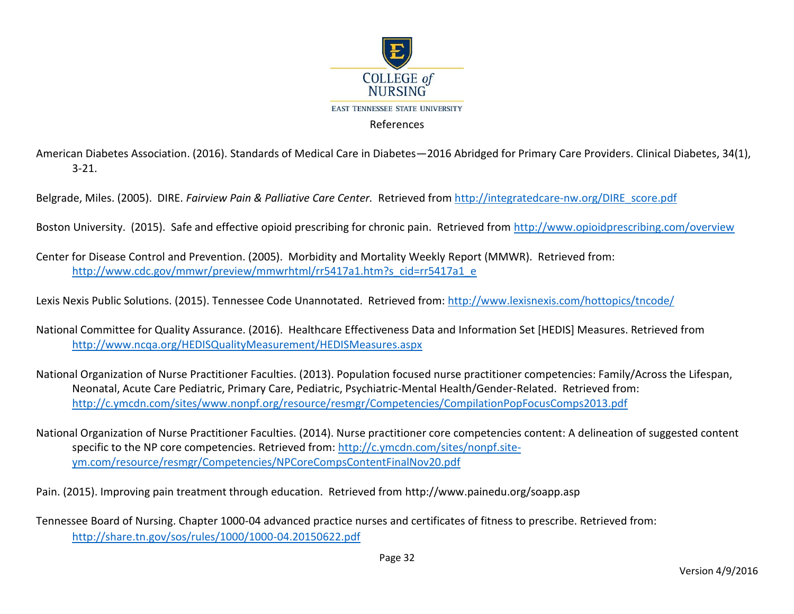

American Diabetes Association. (2016). Standards of Medical Care in Diabetes—2016 Abridged for Primary Care Providers. Clinical Diabetes, 34(1), 3-21.

Belgrade, Miles. (2005). DIRE. *Fairview Pain & Palliative Care Center.* Retrieved from [http://integratedcare-nw.org/DIRE\\_score.pdf](http://integratedcare-nw.org/DIRE_score.pdf)

Boston University. (2015). Safe and effective opioid prescribing for chronic pain. Retrieved from<http://www.opioidprescribing.com/overview>

Center for Disease Control and Prevention. (2005). Morbidity and Mortality Weekly Report (MMWR). Retrieved from: [http://www.cdc.gov/mmwr/preview/mmwrhtml/rr5417a1.htm?s\\_cid=rr5417a1\\_e](http://www.cdc.gov/mmwr/preview/mmwrhtml/rr5417a1.htm?s_cid=rr5417a1_e)

Lexis Nexis Public Solutions. (2015). Tennessee Code Unannotated. Retrieved from:<http://www.lexisnexis.com/hottopics/tncode/>

National Committee for Quality Assurance. (2016). Healthcare Effectiveness Data and Information Set [HEDIS] Measures. Retrieved from <http://www.ncqa.org/HEDISQualityMeasurement/HEDISMeasures.aspx>

National Organization of Nurse Practitioner Faculties. (2013). Population focused nurse practitioner competencies: Family/Across the Lifespan, Neonatal, Acute Care Pediatric, Primary Care, Pediatric, Psychiatric-Mental Health/Gender-Related. Retrieved from: <http://c.ymcdn.com/sites/www.nonpf.org/resource/resmgr/Competencies/CompilationPopFocusComps2013.pdf>

National Organization of Nurse Practitioner Faculties. (2014). Nurse practitioner core competencies content: A delineation of suggested content specific to the NP core competencies. Retrieved from: [http://c.ymcdn.com/sites/nonpf.site](http://c.ymcdn.com/sites/nonpf.site-ym.com/resource/resmgr/Competencies/NPCoreCompsContentFinalNov20.pdf)[ym.com/resource/resmgr/Competencies/NPCoreCompsContentFinalNov20.pdf](http://c.ymcdn.com/sites/nonpf.site-ym.com/resource/resmgr/Competencies/NPCoreCompsContentFinalNov20.pdf) 

Pain. (2015). Improving pain treatment through education. Retrieved from http://www.painedu.org/soapp.asp

Tennessee Board of Nursing. Chapter 1000-04 advanced practice nurses and certificates of fitness to prescribe. Retrieved from: <http://share.tn.gov/sos/rules/1000/1000-04.20150622.pdf>